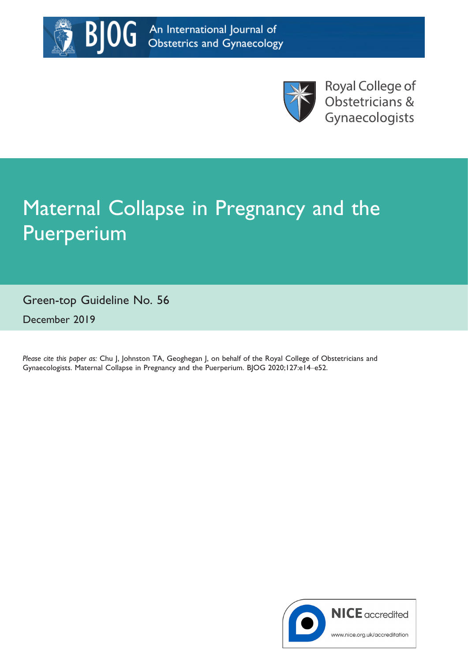



**Royal College of** Obstetricians & Gynaecologists

# Maternal Collapse in Pregnancy and the Puerperium

Green-top Guideline No. 56 December 2019

Please cite this paper as: Chu J, Johnston TA, Geoghegan J, on behalf of the Royal College of Obstetricians and Gynaecologists. Maternal Collapse in Pregnancy and the Puerperium. BJOG 2020;127:e14–e52.

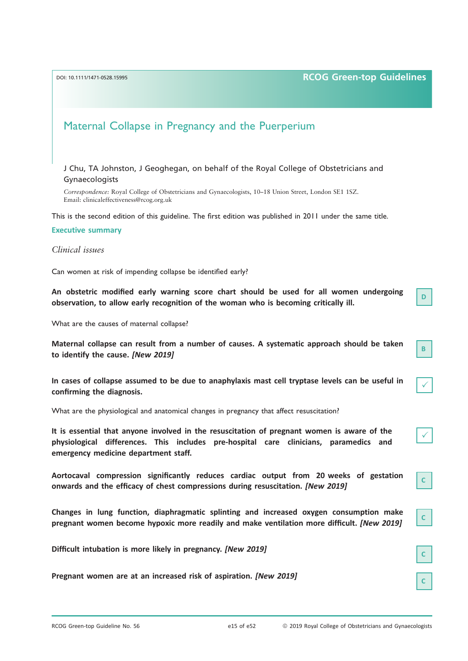## DOI: 10.1111/1471-0528.15995 **RCOG Green-top Guidelines**

D

B

 $\checkmark$ 

 $\checkmark$ 

C

C

# Maternal Collapse in Pregnancy and the Puerperium

J Chu, TA Johnston, J Geoghegan, on behalf of the Royal College of Obstetricians and Gynaecologists

Correspondence: Royal College of Obstetricians and Gynaecologists, 10–18 Union Street, London SE1 1SZ. Email: [clinicaleffectiveness@rcog.org.uk](mailto:)

This is the second edition of this guideline. The first edition was published in 2011 under the same title.

#### Executive summary

Clinical issues

Can women at risk of impending collapse be identified early?

An obstetric modified early warning score chart should be used for all women undergoing observation, to allow early recognition of the woman who is becoming critically ill.

What are the causes of maternal collapse?

Maternal collapse can result from a number of causes. A systematic approach should be taken to identify the cause. [New 2019]

In cases of collapse assumed to be due to anaphylaxis mast cell tryptase levels can be useful in confirming the diagnosis.

What are the physiological and anatomical changes in pregnancy that affect resuscitation?

It is essential that anyone involved in the resuscitation of pregnant women is aware of the physiological differences. This includes pre-hospital care clinicians, paramedics and emergency medicine department staff.

Aortocaval compression significantly reduces cardiac output from 20 weeks of gestation onwards and the efficacy of chest compressions during resuscitation. [New 2019]

Changes in lung function, diaphragmatic splinting and increased oxygen consumption make pregnant women become hypoxic more readily and make ventilation more difficult. [New 2019]

Difficult intubation is more likely in pregnancy. [New 2019]

Pregnant women are at an increased risk of aspiration. [New 2019]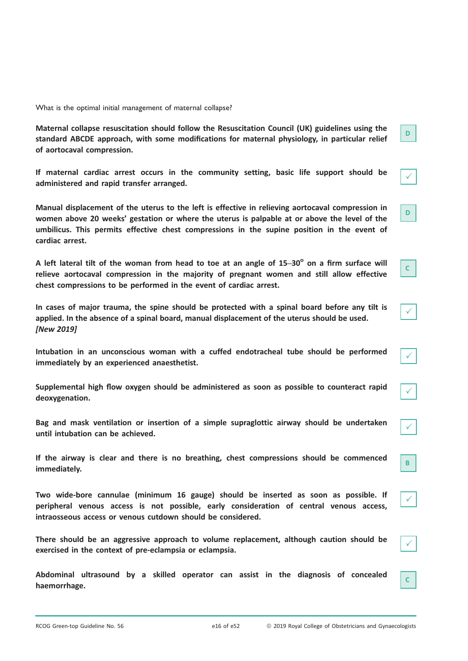What is the optimal initial management of maternal collapse?

Maternal collapse resuscitation should follow the Resuscitation Council (UK) guidelines using the standard ABCDE approach, with some modifications for maternal physiology, in particular relief of aortocaval compression.

If maternal cardiac arrest occurs in the community setting, basic life support should be administered and rapid transfer arranged.

Manual displacement of the uterus to the left is effective in relieving aortocaval compression in women above 20 weeks' gestation or where the uterus is palpable at or above the level of the umbilicus. This permits effective chest compressions in the supine position in the event of cardiac arrest.

A left lateral tilt of the woman from head to toe at an angle of  $15-30^\circ$  on a firm surface will relieve aortocaval compression in the majority of pregnant women and still allow effective chest compressions to be performed in the event of cardiac arrest.

In cases of major trauma, the spine should be protected with a spinal board before any tilt is applied. In the absence of a spinal board, manual displacement of the uterus should be used. [New 2019]

Intubation in an unconscious woman with a cuffed endotracheal tube should be performed immediately by an experienced anaesthetist.

Supplemental high flow oxygen should be administered as soon as possible to counteract rapid deoxygenation.

Bag and mask ventilation or insertion of a simple supraglottic airway should be undertaken until intubation can be achieved.

If the airway is clear and there is no breathing, chest compressions should be commenced immediately.

Two wide-bore cannulae (minimum 16 gauge) should be inserted as soon as possible. If peripheral venous access is not possible, early consideration of central venous access, intraosseous access or venous cutdown should be considered.

There should be an aggressive approach to volume replacement, although caution should be exercised in the context of pre-eclampsia or eclampsia.

Abdominal ultrasound by a skilled operator can assist in the diagnosis of concealed haemorrhage.

D

 $\checkmark$ 

D

C

 $\checkmark$ 

 $\checkmark$ 

 $\checkmark$ 

 $\checkmark$ 

B

 $\checkmark$ 

 $\checkmark$ 

C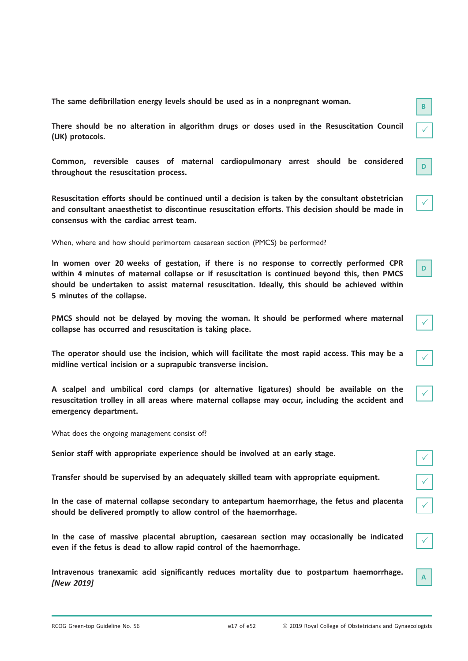The same defibrillation energy levels should be used as in a nonpregnant woman.

There should be no alteration in algorithm drugs or doses used in the Resuscitation Council (UK) protocols.

Common, reversible causes of maternal cardiopulmonary arrest should be considered throughout the resuscitation process.

Resuscitation efforts should be continued until a decision is taken by the consultant obstetrician and consultant anaesthetist to discontinue resuscitation efforts. This decision should be made in consensus with the cardiac arrest team.

When, where and how should perimortem caesarean section (PMCS) be performed?

In women over 20 weeks of gestation, if there is no response to correctly performed CPR within 4 minutes of maternal collapse or if resuscitation is continued beyond this, then PMCS should be undertaken to assist maternal resuscitation. Ideally, this should be achieved within 5 minutes of the collapse.

PMCS should not be delayed by moving the woman. It should be performed where maternal collapse has occurred and resuscitation is taking place.

The operator should use the incision, which will facilitate the most rapid access. This may be a midline vertical incision or a suprapubic transverse incision.

A scalpel and umbilical cord clamps (or alternative ligatures) should be available on the resuscitation trolley in all areas where maternal collapse may occur, including the accident and emergency department.

What does the ongoing management consist of?

Senior staff with appropriate experience should be involved at an early stage.

Transfer should be supervised by an adequately skilled team with appropriate equipment. <sup>P</sup>

In the case of maternal collapse secondary to antepartum haemorrhage, the fetus and placenta should be delivered promptly to allow control of the haemorrhage.

In the case of massive placental abruption, caesarean section may occasionally be indicated even if the fetus is dead to allow rapid control of the haemorrhage.

Intravenous tranexamic acid significantly reduces mortality due to postpartum haemorrhage. [New 2019]

| t |
|---|

 $\checkmark$ 

| ∕ |
|---|
|   |

| I |  |
|---|--|
|   |  |

| ł |  |
|---|--|

A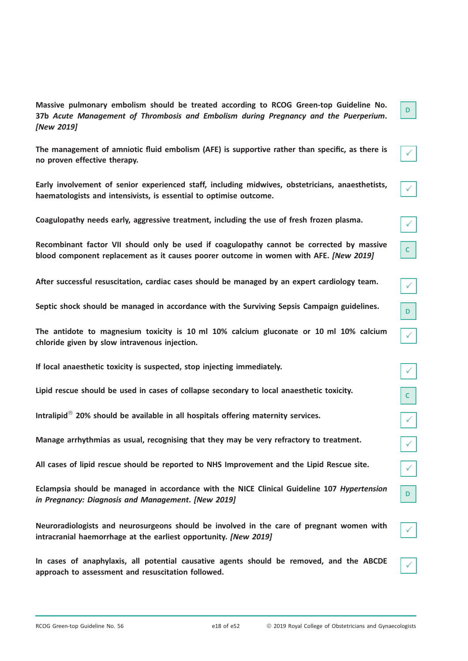Massive pulmonary embolism should be treated according to RCOG Green-top Guideline No. 37b Acute Management of Thrombosis and Embolism during Pregnancy and the Puerperium. [New 2019]

The management of amniotic fluid embolism (AFE) is supportive rather than specific, as there is no proven effective therapy.

Early involvement of senior experienced staff, including midwives, obstetricians, anaesthetists, haematologists and intensivists, is essential to optimise outcome.

Coagulopathy needs early, aggressive treatment, including the use of fresh frozen plasma. <sup>P</sup>

Recombinant factor VII should only be used if coagulopathy cannot be corrected by massive blood component replacement as it causes poorer outcome in women with AFE. [New 2019]

After successful resuscitation, cardiac cases should be managed by an expert cardiology team. <sup>P</sup>

Septic shock should be managed in accordance with the Surviving Sepsis Campaign guidelines.

The antidote to magnesium toxicity is 10 ml 10% calcium gluconate or 10 ml 10% calcium chloride given by slow intravenous injection.

If local anaesthetic toxicity is suspected, stop injecting immediately.

Lipid rescue should be used in cases of collapse secondary to local anaesthetic toxicity.

Intralipid<sup>®</sup> 20% should be available in all hospitals offering maternity services.

Manage arrhythmias as usual, recognising that they may be very refractory to treatment.

All cases of lipid rescue should be reported to NHS Improvement and the Lipid Rescue site. <sup>P</sup>

Eclampsia should be managed in accordance with the NICE Clinical Guideline 107 Hypertension in Pregnancy: Diagnosis and Management. [New 2019]

Neuroradiologists and neurosurgeons should be involved in the care of pregnant women with intracranial haemorrhage at the earliest opportunity. [New 2019]

In cases of anaphylaxis, all potential causative agents should be removed, and the ABCDE approach to assessment and resuscitation followed.

|--|

 $\mathbf{c}^{\parallel}$ 

 $\overline{\sqrt{ }}$ 

| L                                                      |  |
|--------------------------------------------------------|--|
|                                                        |  |
| ſ                                                      |  |
|                                                        |  |
| ;<br>√_<br>$\vert \hspace{0.5pt} \cdot \hspace{0.5pt}$ |  |
|                                                        |  |
| $\sqrt{2}$<br>L                                        |  |
|                                                        |  |
| $\sqrt{2}$<br>l.                                       |  |
|                                                        |  |
|                                                        |  |

 $\checkmark$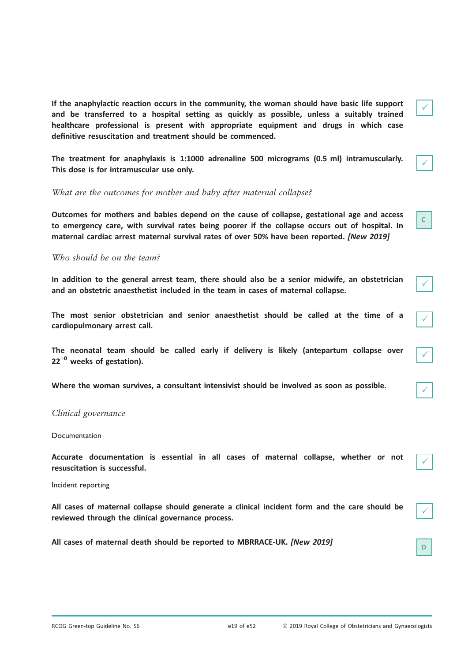If the anaphylactic reaction occurs in the community, the woman should have basic life support and be transferred to a hospital setting as quickly as possible, unless a suitably trained healthcare professional is present with appropriate equipment and drugs in which case definitive resuscitation and treatment should be commenced.

The treatment for anaphylaxis is 1:1000 adrenaline 500 micrograms (0.5 ml) intramuscularly. This dose is for intramuscular use only.

What are the outcomes for mother and baby after maternal collapse?

Outcomes for mothers and babies depend on the cause of collapse, gestational age and access to emergency care, with survival rates being poorer if the collapse occurs out of hospital. In maternal cardiac arrest maternal survival rates of over 50% have been reported. [New 2019]

## Who should be on the team?

In addition to the general arrest team, there should also be a senior midwife, an obstetrician and an obstetric anaesthetist included in the team in cases of maternal collapse.

The most senior obstetrician and senior anaesthetist should be called at the time of a cardiopulmonary arrest call.

The neonatal team should be called early if delivery is likely (antepartum collapse over  $22^{+0}$  weeks of gestation).

Where the woman survives, a consultant intensivist should be involved as soon as possible.

## Clinical governance

#### Documentation

Accurate documentation is essential in all cases of maternal collapse, whether or not resuscitation is successful.

Incident reporting

All cases of maternal collapse should generate a clinical incident form and the care should be reviewed through the clinical governance process.

All cases of maternal death should be reported to MBRRACE-UK. [New 2019]

C

 $\checkmark$ 

| I |  |
|---|--|
|   |  |

 $\checkmark$ 

 $\checkmark$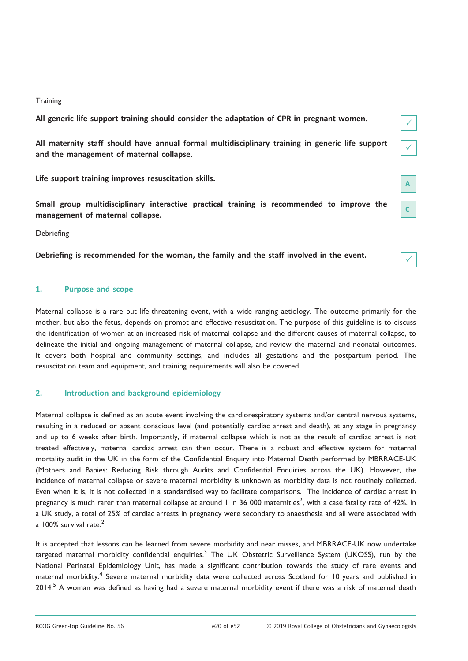## **Training**

All generic life support training should consider the adaptation of CPR in pregnant women.

All maternity staff should have annual formal multidisciplinary training in generic life support and the management of maternal collapse.

Life support training improves resuscitation skills.

Small group multidisciplinary interactive practical training is recommended to improve the management of maternal collapse.

Debriefing

Debriefing is recommended for the woman, the family and the staff involved in the event.

## 1. Purpose and scope

Maternal collapse is a rare but life-threatening event, with a wide ranging aetiology. The outcome primarily for the mother, but also the fetus, depends on prompt and effective resuscitation. The purpose of this guideline is to discuss the identification of women at an increased risk of maternal collapse and the different causes of maternal collapse, to delineate the initial and ongoing management of maternal collapse, and review the maternal and neonatal outcomes. It covers both hospital and community settings, and includes all gestations and the postpartum period. The resuscitation team and equipment, and training requirements will also be covered.

## 2. Introduction and background epidemiology

Maternal collapse is defined as an acute event involving the cardiorespiratory systems and/or central nervous systems, resulting in a reduced or absent conscious level (and potentially cardiac arrest and death), at any stage in pregnancy and up to 6 weeks after birth. Importantly, if maternal collapse which is not as the result of cardiac arrest is not treated effectively, maternal cardiac arrest can then occur. There is a robust and effective system for maternal mortality audit in the UK in the form of the Confidential Enquiry into Maternal Death performed by MBRRACE-UK (Mothers and Babies: Reducing Risk through Audits and Confidential Enquiries across the UK). However, the incidence of maternal collapse or severe maternal morbidity is unknown as morbidity data is not routinely collected. Even when it is, it is not collected in a standardised way to facilitate comparisons.<sup>1</sup> The incidence of cardiac arrest in pregnancy is much rarer than maternal collapse at around 1 in 36 000 maternities<sup>2</sup>, with a case fatality rate of 42%. In a UK study, a total of 25% of cardiac arrests in pregnancy were secondary to anaesthesia and all were associated with a  $100\%$  survival rate. $<sup>2</sup>$ </sup>

It is accepted that lessons can be learned from severe morbidity and near misses, and MBRRACE-UK now undertake targeted maternal morbidity confidential enquiries.<sup>3</sup> The UK Obstetric Surveillance System (UKOSS), run by the National Perinatal Epidemiology Unit, has made a significant contribution towards the study of rare events and maternal morbidity.<sup>4</sup> Severe maternal morbidity data were collected across Scotland for 10 years and published in 2014.<sup>5</sup> A woman was defined as having had a severe maternal morbidity event if there was a risk of maternal death

 $\checkmark$ 

C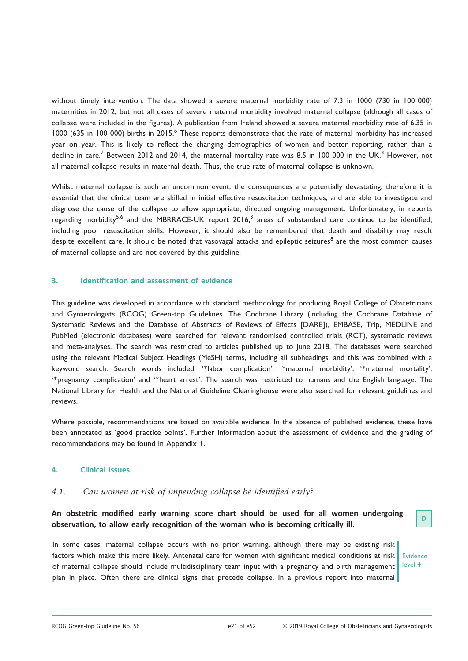without timely intervention. The data showed a severe maternal morbidity rate of 7.3 in 1000 (730 in 100 000) maternities in 2012, but not all cases of severe maternal morbidity involved maternal collapse (although all cases of collapse were included in the figures). A publication from Ireland showed a severe maternal morbidity rate of 6.35 in 1000 (635 in 100 000) births in 2015.<sup>6</sup> These reports demonstrate that the rate of maternal morbidity has increased year on year. This is likely to reflect the changing demographics of women and better reporting, rather than a decline in care.<sup>7</sup> Between 2012 and 2014, the maternal mortality rate was 8.5 in 100 000 in the UK.<sup>3</sup> However, not all maternal collapse results in maternal death. Thus, the true rate of maternal collapse is unknown.

Whilst maternal collapse is such an uncommon event, the consequences are potentially devastating, therefore it is essential that the clinical team are skilled in initial effective resuscitation techniques, and are able to investigate and diagnose the cause of the collapse to allow appropriate, directed ongoing management. Unfortunately, in reports regarding morbidity<sup>5,6</sup> and the MBRRACE-UK report 2016,<sup>3</sup> areas of substandard care continue to be identified, including poor resuscitation skills. However, it should also be remembered that death and disability may result despite excellent care. It should be noted that vasovagal attacks and epileptic seizures<sup>8</sup> are the most common causes of maternal collapse and are not covered by this guideline.

## 3. Identification and assessment of evidence

This guideline was developed in accordance with standard methodology for producing Royal College of Obstetricians and Gynaecologists (RCOG) Green-top Guidelines. The Cochrane Library (including the Cochrane Database of Systematic Reviews and the Database of Abstracts of Reviews of Effects [DARE]), EMBASE, Trip, MEDLINE and PubMed (electronic databases) were searched for relevant randomised controlled trials (RCT), systematic reviews and meta-analyses. The search was restricted to articles published up to June 2018. The databases were searched using the relevant Medical Subject Headings (MeSH) terms, including all subheadings, and this was combined with a keyword search. Search words included, '\*labor complication', '\*maternal morbidity', '\*maternal mortality', '\*pregnancy complication' and '\*heart arrest'. The search was restricted to humans and the English language. The National Library for Health and the National Guideline Clearinghouse were also searched for relevant guidelines and reviews.

Where possible, recommendations are based on available evidence. In the absence of published evidence, these have been annotated as 'good practice points'. Further information about the assessment of evidence and the grading of recommendations may be found in Appendix 1.

## 4. Clinical issues

## 4.1. Can women at risk of impending collapse be identified early?

An obstetric modified early warning score chart should be used for all women undergoing observation, to allow early recognition of the woman who is becoming critically ill.

In some cases, maternal collapse occurs with no prior warning, although there may be existing risk factors which make this more likely. Antenatal care for women with significant medical conditions at risk of maternal collapse should include multidisciplinary team input with a pregnancy and birth management plan in place. Often there are clinical signs that precede collapse. In a previous report into maternal

Evidence level 4

D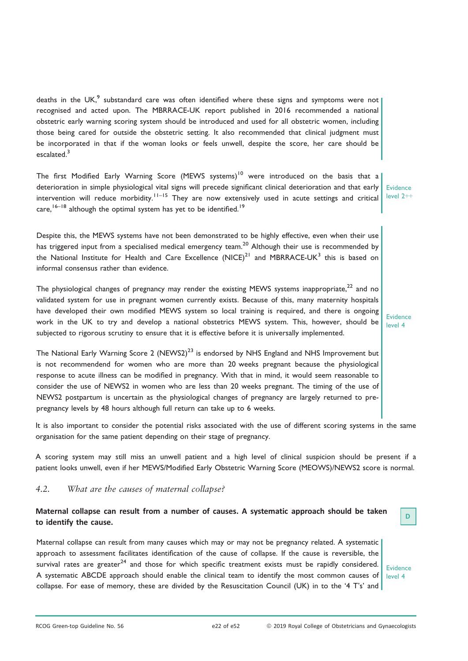deaths in the UK, $<sup>9</sup>$  substandard care was often identified where these signs and symptoms were not</sup> recognised and acted upon. The MBRRACE-UK report published in 2016 recommended a national obstetric early warning scoring system should be introduced and used for all obstetric women, including those being cared for outside the obstetric setting. It also recommended that clinical judgment must be incorporated in that if the woman looks or feels unwell, despite the score, her care should be escalated.<sup>3</sup>

The first Modified Early Warning Score (MEWS systems)<sup>10</sup> were introduced on the basis that a deterioration in simple physiological vital signs will precede significant clinical deterioration and that early intervention will reduce morbidity.<sup>11–15</sup> They are now extensively used in acute settings and critical care,  $16-18$  although the optimal system has yet to be identified.<sup>19</sup>

Evidence level 2++

Evidence level 4

Despite this, the MEWS systems have not been demonstrated to be highly effective, even when their use has triggered input from a specialised medical emergency team.<sup>20</sup> Although their use is recommended by the National Institute for Health and Care Excellence  $(NICE)^{21}$  and MBRRACE-UK<sup>3</sup> this is based on informal consensus rather than evidence.

The physiological changes of pregnancy may render the existing MEWS systems inappropriate.<sup>22</sup> and no validated system for use in pregnant women currently exists. Because of this, many maternity hospitals have developed their own modified MEWS system so local training is required, and there is ongoing work in the UK to try and develop a national obstetrics MEWS system. This, however, should be subjected to rigorous scrutiny to ensure that it is effective before it is universally implemented.

The National Early Warning Score 2 (NEWS2)<sup>23</sup> is endorsed by NHS England and NHS Improvement but is not recommendend for women who are more than 20 weeks pregnant because the physiological response to acute illness can be modified in pregnancy. With that in mind, it would seem reasonable to consider the use of NEWS2 in women who are less than 20 weeks pregnant. The timing of the use of NEWS2 postpartum is uncertain as the physiological changes of pregnancy are largely returned to prepregnancy levels by 48 hours although full return can take up to 6 weeks.

It is also important to consider the potential risks associated with the use of different scoring systems in the same organisation for the same patient depending on their stage of pregnancy.

A scoring system may still miss an unwell patient and a high level of clinical suspicion should be present if a patient looks unwell, even if her MEWS/Modified Early Obstetric Warning Score (MEOWS)/NEWS2 score is normal.

## 4.2. What are the causes of maternal collapse?

## Maternal collapse can result from a number of causes. A systematic approach should be taken to identify the cause.

Maternal collapse can result from many causes which may or may not be pregnancy related. A systematic approach to assessment facilitates identification of the cause of collapse. If the cause is reversible, the survival rates are greater<sup>24</sup> and those for which specific treatment exists must be rapidly considered. A systematic ABCDE approach should enable the clinical team to identify the most common causes of collapse. For ease of memory, these are divided by the Resuscitation Council (UK) in to the '4 T's' and

Evidence level 4

D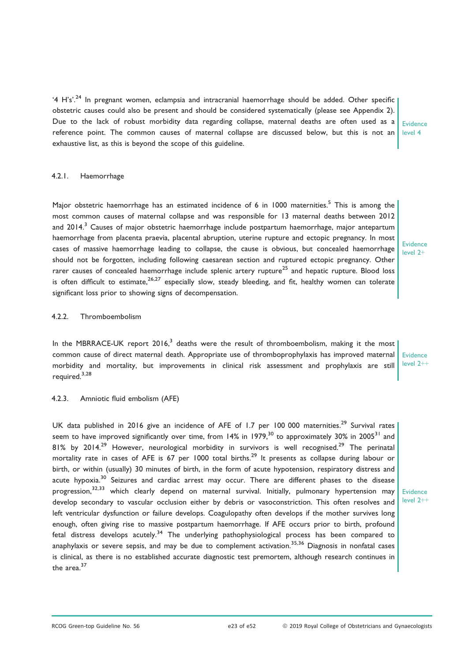'4 H's'.<sup>24</sup> In pregnant women, eclampsia and intracranial haemorrhage should be added. Other specific obstetric causes could also be present and should be considered systematically (please see Appendix 2). Due to the lack of robust morbidity data regarding collapse, maternal deaths are often used as a reference point. The common causes of maternal collapse are discussed below, but this is not an exhaustive list, as this is beyond the scope of this guideline.

## 4.2.1. Haemorrhage

Major obstetric haemorrhage has an estimated incidence of 6 in 1000 maternities.<sup>5</sup> This is among the most common causes of maternal collapse and was responsible for 13 maternal deaths between 2012 and 2014.<sup>3</sup> Causes of major obstetric haemorrhage include postpartum haemorrhage, major antepartum haemorrhage from placenta praevia, placental abruption, uterine rupture and ectopic pregnancy. In most cases of massive haemorrhage leading to collapse, the cause is obvious, but concealed haemorrhage should not be forgotten, including following caesarean section and ruptured ectopic pregnancy. Other rarer causes of concealed haemorrhage include splenic artery rupture<sup>25</sup> and hepatic rupture. Blood loss is often difficult to estimate,  $26,27$  especially slow, steady bleeding, and fit, healthy women can tolerate significant loss prior to showing signs of decompensation.

Evidence level 2+

Evidence level 4

#### 4.2.2. Thromboembolism

In the MBRRACE-UK report  $2016<sup>3</sup>$  deaths were the result of thromboembolism, making it the most common cause of direct maternal death. Appropriate use of thromboprophylaxis has improved maternal morbidity and mortality, but improvements in clinical risk assessment and prophylaxis are still required.3,28

#### 4.2.3. Amniotic fluid embolism (AFE)

UK data published in 2016 give an incidence of AFE of 1.7 per 100 000 maternities.<sup>29</sup> Survival rates seem to have improved significantly over time, from 14% in 1979,<sup>30</sup> to approximately 30% in 2005<sup>31</sup> and 81% by 2014.<sup>29</sup> However, neurological morbidity in survivors is well recognised.<sup>29</sup> The perinatal mortality rate in cases of AFE is 67 per 1000 total births.<sup>29</sup> It presents as collapse during labour or birth, or within (usually) 30 minutes of birth, in the form of acute hypotension, respiratory distress and acute hypoxia.<sup>30</sup> Seizures and cardiac arrest may occur. There are different phases to the disease progression,<sup>32,33</sup> which clearly depend on maternal survival. Initially, pulmonary hypertension may develop secondary to vascular occlusion either by debris or vasoconstriction. This often resolves and left ventricular dysfunction or failure develops. Coagulopathy often develops if the mother survives long enough, often giving rise to massive postpartum haemorrhage. If AFE occurs prior to birth, profound fetal distress develops acutely.<sup>34</sup> The underlying pathophysiological process has been compared to anaphylaxis or severe sepsis, and may be due to complement activation.<sup>35,36</sup> Diagnosis in nonfatal cases is clinical, as there is no established accurate diagnostic test premortem, although research continues in the area $37$ 

Evidence level 2++

Evidence  $level 2++$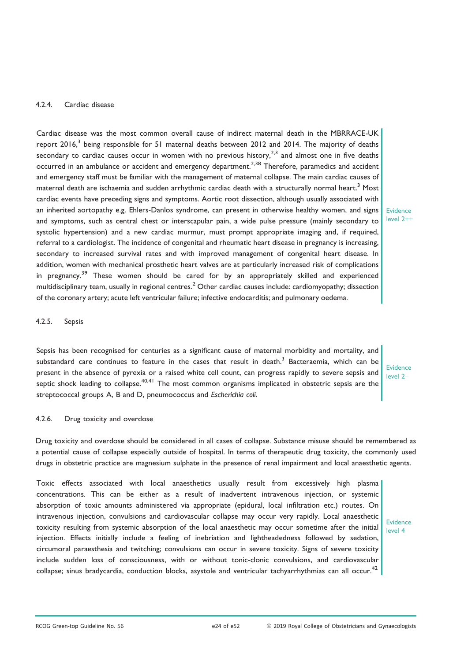## 4.2.4. Cardiac disease

Cardiac disease was the most common overall cause of indirect maternal death in the MBRRACE-UK report  $2016$ ,<sup>3</sup> being responsible for 51 maternal deaths between  $2012$  and  $2014$ . The majority of deaths secondary to cardiac causes occur in women with no previous history,<sup>2,3</sup> and almost one in five deaths occurred in an ambulance or accident and emergency department.<sup>2,38</sup> Therefore, paramedics and accident and emergency staff must be familiar with the management of maternal collapse. The main cardiac causes of maternal death are ischaemia and sudden arrhythmic cardiac death with a structurally normal heart.<sup>3</sup> Most cardiac events have preceding signs and symptoms. Aortic root dissection, although usually associated with an inherited aortopathy e.g. Ehlers-Danlos syndrome, can present in otherwise healthy women, and signs and symptoms, such as central chest or interscapular pain, a wide pulse pressure (mainly secondary to systolic hypertension) and a new cardiac murmur, must prompt appropriate imaging and, if required, referral to a cardiologist. The incidence of congenital and rheumatic heart disease in pregnancy is increasing, secondary to increased survival rates and with improved management of congenital heart disease. In addition, women with mechanical prosthetic heart valves are at particularly increased risk of complications in pregnancy.<sup>39</sup> These women should be cared for by an appropriately skilled and experienced multidisciplinary team, usually in regional centres.<sup>2</sup> Other cardiac causes include: cardiomyopathy; dissection of the coronary artery; acute left ventricular failure; infective endocarditis; and pulmonary oedema.

#### Evidence  $level 2++$

#### 4.2.5. Sepsis

Sepsis has been recognised for centuries as a significant cause of maternal morbidity and mortality, and substandard care continues to feature in the cases that result in death.<sup>3</sup> Bacteraemia, which can be present in the absence of pyrexia or a raised white cell count, can progress rapidly to severe sepsis and septic shock leading to collapse.<sup>40,41</sup> The most common organisms implicated in obstetric sepsis are the streptococcal groups A, B and D, pneumococcus and Escherichia coli.

Evidence level 2–

## 4.2.6. Drug toxicity and overdose

Drug toxicity and overdose should be considered in all cases of collapse. Substance misuse should be remembered as a potential cause of collapse especially outside of hospital. In terms of therapeutic drug toxicity, the commonly used drugs in obstetric practice are magnesium sulphate in the presence of renal impairment and local anaesthetic agents.

Toxic effects associated with local anaesthetics usually result from excessively high plasma concentrations. This can be either as a result of inadvertent intravenous injection, or systemic absorption of toxic amounts administered via appropriate (epidural, local infiltration etc.) routes. On intravenous injection, convulsions and cardiovascular collapse may occur very rapidly. Local anaesthetic toxicity resulting from systemic absorption of the local anaesthetic may occur sometime after the initial injection. Effects initially include a feeling of inebriation and lightheadedness followed by sedation, circumoral paraesthesia and twitching; convulsions can occur in severe toxicity. Signs of severe toxicity include sudden loss of consciousness, with or without tonic-clonic convulsions, and cardiovascular collapse; sinus bradycardia, conduction blocks, asystole and ventricular tachyarrhythmias can all occur.<sup>42</sup>

Evidence level 4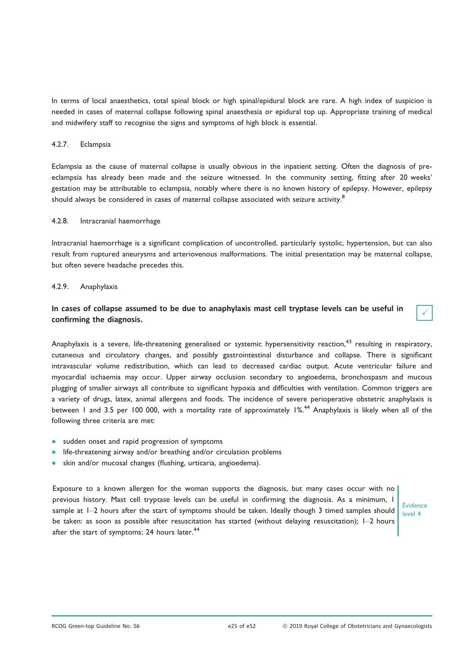In terms of local anaesthetics, total spinal block or high spinal/epidural block are rare. A high index of suspicion is needed in cases of maternal collapse following spinal anaesthesia or epidural top up. Appropriate training of medical and midwifery staff to recognise the signs and symptoms of high block is essential.

#### 4.2.7. Eclampsia

Eclampsia as the cause of maternal collapse is usually obvious in the inpatient setting. Often the diagnosis of preeclampsia has already been made and the seizure witnessed. In the community setting, fitting after 20 weeks' gestation may be attributable to eclampsia, notably where there is no known history of epilepsy. However, epilepsy should always be considered in cases of maternal collapse associated with seizure activity.<sup>8</sup>

#### 4.2.8. Intracranial haemorrhage

Intracranial haemorrhage is a significant complication of uncontrolled, particularly systolic, hypertension, but can also result from ruptured aneurysms and arteriovenous malformations. The initial presentation may be maternal collapse, but often severe headache precedes this.

#### 4.2.9. Anaphylaxis

## In cases of collapse assumed to be due to anaphylaxis mast cell tryptase levels can be useful in confirming the diagnosis.

Anaphylaxis is a severe, life-threatening generalised or systemic hypersensitivity reaction,<sup>43</sup> resulting in respiratory, cutaneous and circulatory changes, and possibly gastrointestinal disturbance and collapse. There is significant intravascular volume redistribution, which can lead to decreased cardiac output. Acute ventricular failure and myocardial ischaemia may occur. Upper airway occlusion secondary to angioedema, bronchospasm and mucous plugging of smaller airways all contribute to significant hypoxia and difficulties with ventilation. Common triggers are a variety of drugs, latex, animal allergens and foods. The incidence of severe perioperative obstetric anaphylaxis is between 1 and 3.5 per 100 000, with a mortality rate of approximately 1%.<sup>44</sup> Anaphylaxis is likely when all of the following three criteria are met:

- sudden onset and rapid progression of symptoms
- life-threatening airway and/or breathing and/or circulation problems
- skin and/or mucosal changes (flushing, urticaria, angioedema).

Exposure to a known allergen for the woman supports the diagnosis, but many cases occur with no previous history. Mast cell tryptase levels can be useful in confirming the diagnosis. As a minimum, 1 sample at  $1-2$  hours after the start of symptoms should be taken. Ideally though 3 timed samples should be taken: as soon as possible after resuscitation has started (without delaying resuscitation); 1–2 hours after the start of symptoms; 24 hours later.<sup>44</sup>

Evidence level 4

 $\checkmark$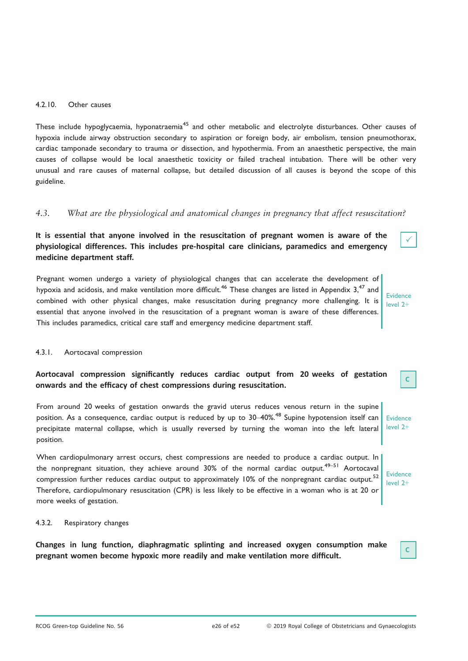#### 4.2.10. Other causes

These include hypoglycaemia, hyponatraemia<sup>45</sup> and other metabolic and electrolyte disturbances. Other causes of hypoxia include airway obstruction secondary to aspiration or foreign body, air embolism, tension pneumothorax, cardiac tamponade secondary to trauma or dissection, and hypothermia. From an anaesthetic perspective, the main causes of collapse would be local anaesthetic toxicity or failed tracheal intubation. There will be other very unusual and rare causes of maternal collapse, but detailed discussion of all causes is beyond the scope of this guideline.

## 4.3. What are the physiological and anatomical changes in pregnancy that affect resuscitation?

It is essential that anyone involved in the resuscitation of pregnant women is aware of the physiological differences. This includes pre-hospital care clinicians, paramedics and emergency medicine department staff.

Pregnant women undergo a variety of physiological changes that can accelerate the development of hypoxia and acidosis, and make ventilation more difficult.<sup>46</sup> These changes are listed in Appendix  $3<sup>47</sup>$  and combined with other physical changes, make resuscitation during pregnancy more challenging. It is essential that anyone involved in the resuscitation of a pregnant woman is aware of these differences. This includes paramedics, critical care staff and emergency medicine department staff.

Evidence level 2+

C

Evidence level 2+

C

 $\checkmark$ 

## 4.3.1. Aortocaval compression

## Aortocaval compression significantly reduces cardiac output from 20 weeks of gestation onwards and the efficacy of chest compressions during resuscitation.

From around 20 weeks of gestation onwards the gravid uterus reduces venous return in the supine position. As a consequence, cardiac output is reduced by up to 30–40%.<sup>48</sup> Supine hypotension itself can precipitate maternal collapse, which is usually reversed by turning the woman into the left lateral position. Evidence level 2+

When cardiopulmonary arrest occurs, chest compressions are needed to produce a cardiac output. In the nonpregnant situation, they achieve around  $30\%$  of the normal cardiac output.<sup>49–51</sup> Aortocaval compression further reduces cardiac output to approximately 10% of the nonpregnant cardiac output.<sup>52</sup> Therefore, cardiopulmonary resuscitation (CPR) is less likely to be effective in a woman who is at 20 or more weeks of gestation.

## 4.3.2. Respiratory changes

Changes in lung function, diaphragmatic splinting and increased oxygen consumption make pregnant women become hypoxic more readily and make ventilation more difficult.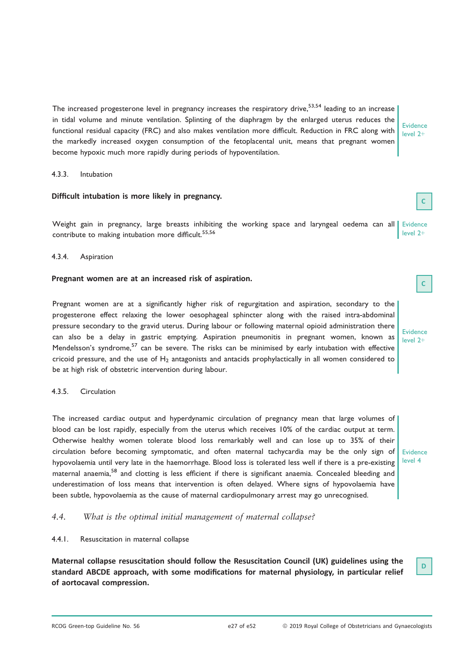The increased progesterone level in pregnancy increases the respiratory drive,<sup>53,54</sup> leading to an increase in tidal volume and minute ventilation. Splinting of the diaphragm by the enlarged uterus reduces the functional residual capacity (FRC) and also makes ventilation more difficult. Reduction in FRC along with the markedly increased oxygen consumption of the fetoplacental unit, means that pregnant women become hypoxic much more rapidly during periods of hypoventilation.

#### 4.3.3. Intubation

# Difficult intubation is more likely in pregnancy.

Weight gain in pregnancy, large breasts inhibiting the working space and laryngeal oedema can all Evidence contribute to making intubation more difficult.<sup>55,56</sup> level 2+

## 4.3.4. Aspiration

# Pregnant women are at an increased risk of aspiration.

Pregnant women are at a significantly higher risk of regurgitation and aspiration, secondary to the progesterone effect relaxing the lower oesophageal sphincter along with the raised intra-abdominal pressure secondary to the gravid uterus. During labour or following maternal opioid administration there can also be a delay in gastric emptying. Aspiration pneumonitis in pregnant women, known as Mendelsson's syndrome,<sup>57</sup> can be severe. The risks can be minimised by early intubation with effective cricoid pressure, and the use of  $H_2$  antagonists and antacids prophylactically in all women considered to be at high risk of obstetric intervention during labour.

#### 4.3.5. Circulation

The increased cardiac output and hyperdynamic circulation of pregnancy mean that large volumes of blood can be lost rapidly, especially from the uterus which receives 10% of the cardiac output at term. Otherwise healthy women tolerate blood loss remarkably well and can lose up to 35% of their circulation before becoming symptomatic, and often maternal tachycardia may be the only sign of Evidence hypovolaemia until very late in the haemorrhage. Blood loss is tolerated less well if there is a pre-existing maternal anaemia,<sup>58</sup> and clotting is less efficient if there is significant anaemia. Concealed bleeding and underestimation of loss means that intervention is often delayed. Where signs of hypovolaemia have been subtle, hypovolaemia as the cause of maternal cardiopulmonary arrest may go unrecognised.

## 4.4. What is the optimal initial management of maternal collapse?

## 4.4.1. Resuscitation in maternal collapse

Maternal collapse resuscitation should follow the Resuscitation Council (UK) guidelines using the standard ABCDE approach, with some modifications for maternal physiology, in particular relief of aortocaval compression.

Evidence level 2+

**Evidence** level 2+

level 4

D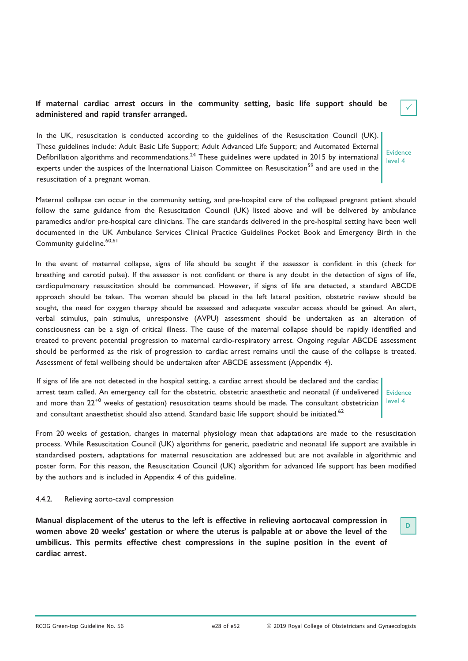## If maternal cardiac arrest occurs in the community setting, basic life support should be administered and rapid transfer arranged.

In the UK, resuscitation is conducted according to the guidelines of the Resuscitation Council (UK). These guidelines include: Adult Basic Life Support; Adult Advanced Life Support; and Automated External Defibrillation algorithms and recommendations.<sup>24</sup> These guidelines were updated in 2015 by international experts under the auspices of the International Liaison Committee on Resuscitation<sup>59</sup> and are used in the resuscitation of a pregnant woman.

Maternal collapse can occur in the community setting, and pre-hospital care of the collapsed pregnant patient should follow the same guidance from the Resuscitation Council (UK) listed above and will be delivered by ambulance paramedics and/or pre-hospital care clinicians. The care standards delivered in the pre-hospital setting have been well documented in the UK Ambulance Services Clinical Practice Guidelines Pocket Book and Emergency Birth in the Community guideline.<sup>60,61</sup>

In the event of maternal collapse, signs of life should be sought if the assessor is confident in this (check for breathing and carotid pulse). If the assessor is not confident or there is any doubt in the detection of signs of life, cardiopulmonary resuscitation should be commenced. However, if signs of life are detected, a standard ABCDE approach should be taken. The woman should be placed in the left lateral position, obstetric review should be sought, the need for oxygen therapy should be assessed and adequate vascular access should be gained. An alert, verbal stimulus, pain stimulus, unresponsive (AVPU) assessment should be undertaken as an alteration of consciousness can be a sign of critical illness. The cause of the maternal collapse should be rapidly identified and treated to prevent potential progression to maternal cardio-respiratory arrest. Ongoing regular ABCDE assessment should be performed as the risk of progression to cardiac arrest remains until the cause of the collapse is treated. Assessment of fetal wellbeing should be undertaken after ABCDE assessment (Appendix 4).

If signs of life are not detected in the hospital setting, a cardiac arrest should be declared and the cardiac arrest team called. An emergency call for the obstetric, obstetric anaesthetic and neonatal (if undelivered and more than  $22^{+0}$  weeks of gestation) resuscitation teams should be made. The consultant obstetrician and consultant anaesthetist should also attend. Standard basic life support should be initiated.<sup>62</sup>

Evidence level 4

D

From 20 weeks of gestation, changes in maternal physiology mean that adaptations are made to the resuscitation process. While Resuscitation Council (UK) algorithms for generic, paediatric and neonatal life support are available in standardised posters, adaptations for maternal resuscitation are addressed but are not available in algorithmic and poster form. For this reason, the Resuscitation Council (UK) algorithm for advanced life support has been modified by the authors and is included in Appendix 4 of this guideline.

#### 4.4.2. Relieving aorto-caval compression

Manual displacement of the uterus to the left is effective in relieving aortocaval compression in women above 20 weeks' gestation or where the uterus is palpable at or above the level of the umbilicus. This permits effective chest compressions in the supine position in the event of cardiac arrest.

|--|

Evidence level 4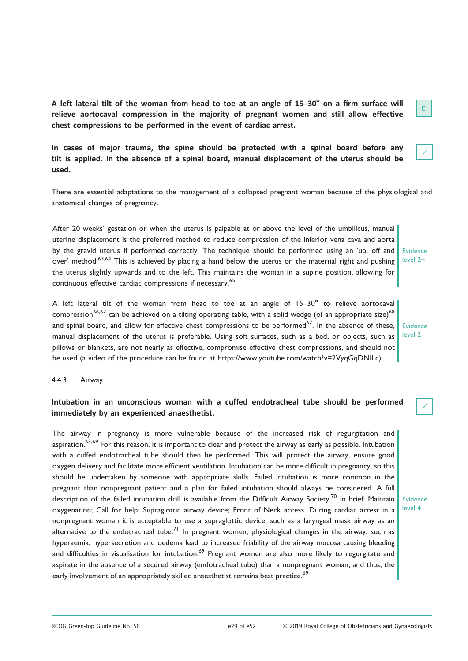A left lateral tilt of the woman from head to toe at an angle of  $15-30^\circ$  on a firm surface will relieve aortocaval compression in the majority of pregnant women and still allow effective chest compressions to be performed in the event of cardiac arrest.

In cases of major trauma, the spine should be protected with a spinal board before any tilt is applied. In the absence of a spinal board, manual displacement of the uterus should be used.

There are essential adaptations to the management of a collapsed pregnant woman because of the physiological and anatomical changes of pregnancy.

After 20 weeks' gestation or when the uterus is palpable at or above the level of the umbilicus, manual uterine displacement is the preferred method to reduce compression of the inferior vena cava and aorta by the gravid uterus if performed correctly. The technique should be performed using an 'up, off and Evidence over' method.<sup>63,64</sup> This is achieved by placing a hand below the uterus on the maternal right and pushing the uterus slightly upwards and to the left. This maintains the woman in a supine position, allowing for continuous effective cardiac compressions if necessary.<sup>65</sup>

A left lateral tilt of the woman from head to toe at an angle of  $15-30^\circ$  to relieve aortocaval compression<sup>66,67</sup> can be achieved on a tilting operating table, with a solid wedge (of an appropriate size)<sup>68</sup> and spinal board, and allow for effective chest compressions to be performed<sup>67</sup>. In the absence of these, **Evidence** manual displacement of the uterus is preferable. Using soft surfaces, such as a bed, or objects, such as pillows or blankets, are not nearly as effective, compromise effective chest compressions, and should not be used (a video of the procedure can be found at [https://www.youtube.com/watch?v=2VyqGqDNlLc\)](https://www.youtube.com/watch?v=2VyqGqDNlLc).

#### 4.4.3. Airway

## Intubation in an unconscious woman with a cuffed endotracheal tube should be performed immediately by an experienced anaesthetist.

The airway in pregnancy is more vulnerable because of the increased risk of regurgitation and aspiration.<sup>63,69</sup> For this reason, it is important to clear and protect the airway as early as possible. Intubation with a cuffed endotracheal tube should then be performed. This will protect the airway, ensure good oxygen delivery and facilitate more efficient ventilation. Intubation can be more difficult in pregnancy, so this should be undertaken by someone with appropriate skills. Failed intubation is more common in the pregnant than nonpregnant patient and a plan for failed intubation should always be considered. A full description of the failed intubation drill is available from the Difficult Airway Society.<sup>70</sup> In brief: Maintain oxygenation; Call for help; Supraglottic airway device; Front of Neck access. During cardiac arrest in a nonpregnant woman it is acceptable to use a supraglottic device, such as a laryngeal mask airway as an alternative to the endotracheal tube.<sup>71</sup> In pregnant women, physiological changes in the airway, such as hyperaemia, hypersecretion and oedema lead to increased friability of the airway mucosa causing bleeding and difficulties in visualisation for intubation.<sup>69</sup> Pregnant women are also more likely to regurgitate and aspirate in the absence of a secured airway (endotracheal tube) than a nonpregnant woman, and thus, the early involvement of an appropriately skilled anaesthetist remains best practice.<sup>69</sup>

|--|

level 2+

 $\checkmark$ 

level 2+

Evidence level 4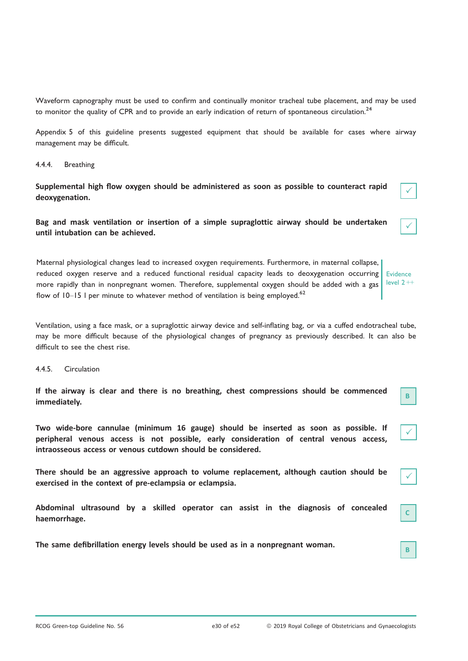Waveform capnography must be used to confirm and continually monitor tracheal tube placement, and may be used to monitor the quality of CPR and to provide an early indication of return of spontaneous circulation.<sup>24</sup>

Appendix 5 of this guideline presents suggested equipment that should be available for cases where airway management may be difficult.

4.4.4. Breathing

Supplemental high flow oxygen should be administered as soon as possible to counteract rapid deoxygenation.

Bag and mask ventilation or insertion of a simple supraglottic airway should be undertaken until intubation can be achieved.

Maternal physiological changes lead to increased oxygen requirements. Furthermore, in maternal collapse, reduced oxygen reserve and a reduced functional residual capacity leads to deoxygenation occurring more rapidly than in nonpregnant women. Therefore, supplemental oxygen should be added with a gas flow of  $10-15$  I per minute to whatever method of ventilation is being employed.<sup>62</sup> Evidence level  $2 +$ 

Ventilation, using a face mask, or a supraglottic airway device and self-inflating bag, or via a cuffed endotracheal tube, may be more difficult because of the physiological changes of pregnancy as previously described. It can also be difficult to see the chest rise.

4.4.5. Circulation

If the airway is clear and there is no breathing, chest compressions should be commenced immediately.

Two wide-bore cannulae (minimum 16 gauge) should be inserted as soon as possible. If peripheral venous access is not possible, early consideration of central venous access, intraosseous access or venous cutdown should be considered.

There should be an aggressive approach to volume replacement, although caution should be exercised in the context of pre-eclampsia or eclampsia.

Abdominal ultrasound by a skilled operator can assist in the diagnosis of concealed haemorrhage.

The same defibrillation energy levels should be used as in a nonpregnant woman.

 $\checkmark$ 

 $\checkmark$ 

B

 $\checkmark$ 

 $\checkmark$ 

C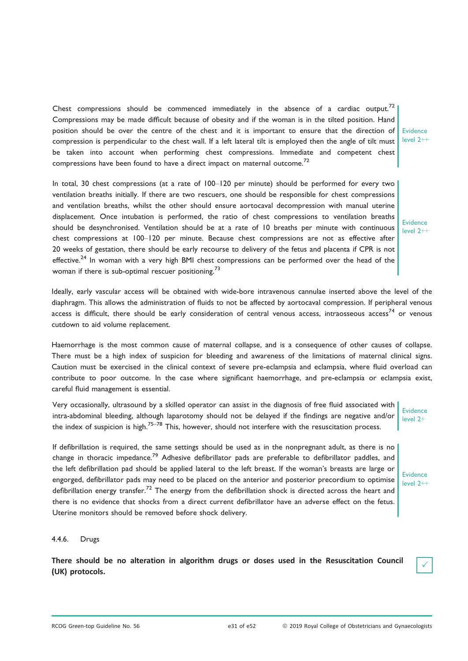Chest compressions should be commenced immediately in the absence of a cardiac output.<sup>72</sup> Compressions may be made difficult because of obesity and if the woman is in the tilted position. Hand position should be over the centre of the chest and it is important to ensure that the direction of Evidence compression is perpendicular to the chest wall. If a left lateral tilt is employed then the angle of tilt must be taken into account when performing chest compressions. Immediate and competent chest compressions have been found to have a direct impact on maternal outcome.<sup>72</sup>

In total, 30 chest compressions (at a rate of 100–120 per minute) should be performed for every two ventilation breaths initially. If there are two rescuers, one should be responsible for chest compressions and ventilation breaths, whilst the other should ensure aortocaval decompression with manual uterine displacement. Once intubation is performed, the ratio of chest compressions to ventilation breaths should be desynchronised. Ventilation should be at a rate of 10 breaths per minute with continuous chest compressions at 100–120 per minute. Because chest compressions are not as effective after 20 weeks of gestation, there should be early recourse to delivery of the fetus and placenta if CPR is not effective.<sup>24</sup> In woman with a very high BMI chest compressions can be performed over the head of the woman if there is sub-optimal rescuer positioning.<sup>73</sup>

Ideally, early vascular access will be obtained with wide-bore intravenous cannulae inserted above the level of the diaphragm. This allows the administration of fluids to not be affected by aortocaval compression. If peripheral venous access is difficult, there should be early consideration of central venous access, intraosseous access<sup>74</sup> or venous cutdown to aid volume replacement.

Haemorrhage is the most common cause of maternal collapse, and is a consequence of other causes of collapse. There must be a high index of suspicion for bleeding and awareness of the limitations of maternal clinical signs. Caution must be exercised in the clinical context of severe pre-eclampsia and eclampsia, where fluid overload can contribute to poor outcome. In the case where significant haemorrhage, and pre-eclampsia or eclampsia exist, careful fluid management is essential.

Very occasionally, ultrasound by a skilled operator can assist in the diagnosis of free fluid associated with intra-abdominal bleeding, although laparotomy should not be delayed if the findings are negative and/or the index of suspicion is high.<sup>75–78</sup> This, however, should not interfere with the resuscitation process.

If defibrillation is required, the same settings should be used as in the nonpregnant adult, as there is no change in thoracic impedance.<sup>79</sup> Adhesive defibrillator pads are preferable to defibrillator paddles, and the left defibrillation pad should be applied lateral to the left breast. If the woman's breasts are large or engorged, defibrillator pads may need to be placed on the anterior and posterior precordium to optimise defibrillation energy transfer.<sup>72</sup> The energy from the defibrillation shock is directed across the heart and there is no evidence that shocks from a direct current defibrillator have an adverse effect on the fetus. Uterine monitors should be removed before shock delivery.

4.4.6. Drugs

There should be no alteration in algorithm drugs or doses used in the Resuscitation Council (UK) protocols.

level 2++

Evidence level 2++

Evidence level 2+

Evidence level 2++

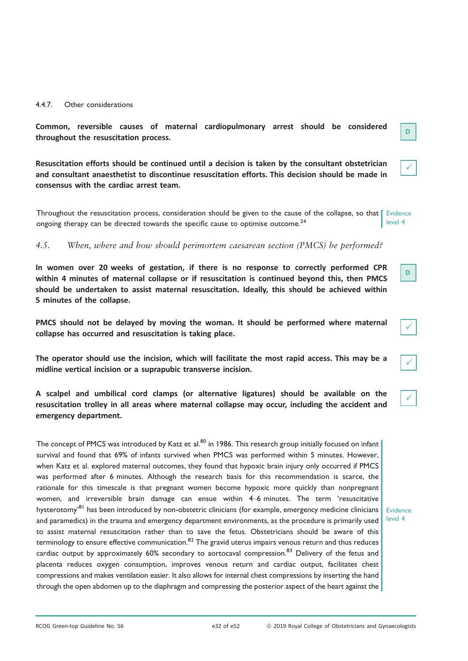#### 4.4.7. Other considerations

Common, reversible causes of maternal cardiopulmonary arrest should be considered throughout the resuscitation process.

Resuscitation efforts should be continued until a decision is taken by the consultant obstetrician and consultant anaesthetist to discontinue resuscitation efforts. This decision should be made in consensus with the cardiac arrest team.

Throughout the resuscitation process, consideration should be given to the cause of the collapse, so that Evidence ongoing therapy can be directed towards the specific cause to optimise outcome.<sup>24</sup> level 4

4.5. When, where and how should perimortem caesarean section (PMCS) be performed?

In women over 20 weeks of gestation, if there is no response to correctly performed CPR within 4 minutes of maternal collapse or if resuscitation is continued beyond this, then PMCS should be undertaken to assist maternal resuscitation. Ideally, this should be achieved within 5 minutes of the collapse.

PMCS should not be delayed by moving the woman. It should be performed where maternal collapse has occurred and resuscitation is taking place.

The operator should use the incision, which will facilitate the most rapid access. This may be a midline vertical incision or a suprapubic transverse incision.

A scalpel and umbilical cord clamps (or alternative ligatures) should be available on the resuscitation trolley in all areas where maternal collapse may occur, including the accident and emergency department.

The concept of PMCS was introduced by Katz et al.<sup>80</sup> in 1986. This research group initially focused on infant survival and found that 69% of infants survived when PMCS was performed within 5 minutes. However, when Katz et al. explored maternal outcomes, they found that hypoxic brain injury only occurred if PMCS was performed after 6 minutes. Although the research basis for this recommendation is scarce, the rationale for this timescale is that pregnant women become hypoxic more quickly than nonpregnant women, and irreversible brain damage can ensue within 4–6 minutes. The term 'resuscitative hysterotomy<sup>81</sup> has been introduced by non-obstetric clinicians (for example, emergency medicine clinicians and paramedics) in the trauma and emergency department environments, as the procedure is primarily used to assist maternal resuscitation rather than to save the fetus. Obstetricians should be aware of this terminology to ensure effective communication. $82$  The gravid uterus impairs venous return and thus reduces cardiac output by approximately 60% secondary to aortocaval compression.<sup>83</sup> Delivery of the fetus and placenta reduces oxygen consumption, improves venous return and cardiac output, facilitates chest compressions and makes ventilation easier. It also allows for internal chest compressions by inserting the hand through the open abdomen up to the diaphragm and compressing the posterior aspect of the heart against the

Evidence level 4

| Green-ton Guideline No. 56 |  |
|----------------------------|--|

 $\checkmark$ 

|--|--|

|--|

 $\checkmark$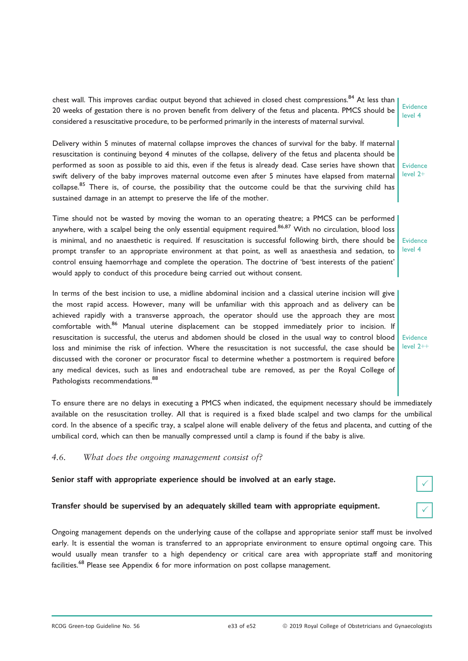chest wall. This improves cardiac output beyond that achieved in closed chest compressions.<sup>84</sup> At less than 20 weeks of gestation there is no proven benefit from delivery of the fetus and placenta. PMCS should be considered a resuscitative procedure, to be performed primarily in the interests of maternal survival. Evidence level 4

Delivery within 5 minutes of maternal collapse improves the chances of survival for the baby. If maternal resuscitation is continuing beyond 4 minutes of the collapse, delivery of the fetus and placenta should be performed as soon as possible to aid this, even if the fetus is already dead. Case series have shown that swift delivery of the baby improves maternal outcome even after 5 minutes have elapsed from maternal collapse.<sup>85</sup> There is, of course, the possibility that the outcome could be that the surviving child has sustained damage in an attempt to preserve the life of the mother.

Time should not be wasted by moving the woman to an operating theatre; a PMCS can be performed anywhere, with a scalpel being the only essential equipment required.<sup>86,87</sup> With no circulation, blood loss is minimal, and no anaesthetic is required. If resuscitation is successful following birth, there should be prompt transfer to an appropriate environment at that point, as well as anaesthesia and sedation, to control ensuing haemorrhage and complete the operation. The doctrine of 'best interests of the patient' would apply to conduct of this procedure being carried out without consent.

In terms of the best incision to use, a midline abdominal incision and a classical uterine incision will give the most rapid access. However, many will be unfamiliar with this approach and as delivery can be achieved rapidly with a transverse approach, the operator should use the approach they are most comfortable with.<sup>86</sup> Manual uterine displacement can be stopped immediately prior to incision. If resuscitation is successful, the uterus and abdomen should be closed in the usual way to control blood loss and minimise the risk of infection. Where the resuscitation is not successful, the case should be discussed with the coroner or procurator fiscal to determine whether a postmortem is required before any medical devices, such as lines and endotracheal tube are removed, as per the Royal College of Pathologists recommendations.<sup>88</sup>

To ensure there are no delays in executing a PMCS when indicated, the equipment necessary should be immediately available on the resuscitation trolley. All that is required is a fixed blade scalpel and two clamps for the umbilical cord. In the absence of a specific tray, a scalpel alone will enable delivery of the fetus and placenta, and cutting of the umbilical cord, which can then be manually compressed until a clamp is found if the baby is alive.

## 4.6. What does the ongoing management consist of?

## Senior staff with appropriate experience should be involved at an early stage.

## Transfer should be supervised by an adequately skilled team with appropriate equipment.

Ongoing management depends on the underlying cause of the collapse and appropriate senior staff must be involved early. It is essential the woman is transferred to an appropriate environment to ensure optimal ongoing care. This would usually mean transfer to a high dependency or critical care area with appropriate staff and monitoring facilities.<sup>68</sup> Please see Appendix 6 for more information on post collapse management.

Evidence level 2+

Evidence level 4

Evidence level 2++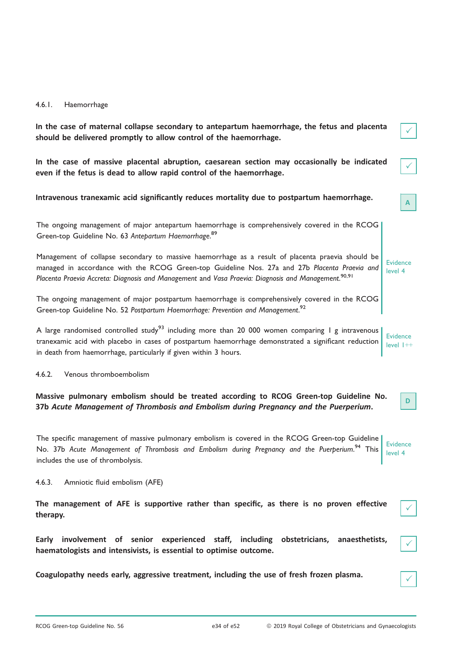#### 4.6.1. Haemorrhage

| In the case of maternal collapse secondary to antepartum haemorrhage, the fetus and placenta                 |  |
|--------------------------------------------------------------------------------------------------------------|--|
| should be delivered promptly to allow control of the haemorrhage.                                            |  |
|                                                                                                              |  |
|                                                                                                              |  |
| المعقودات والمستحدث والمستحدث والمستحدث والمتحدث والمستحدث والمستحدث والمستحدث والمستحدث والمستحدث والمستحدث |  |

In the case of massive placental abruption, caesarean section may occasionally be indicated even if the fetus is dead to allow rapid control of the haemorrhage.

## Intravenous tranexamic acid significantly reduces mortality due to postpartum haemorrhage.

|                                                                  |  | The ongoing management of major antepartum haemorrhage is comprehensively covered in the RCOG |  |  |
|------------------------------------------------------------------|--|-----------------------------------------------------------------------------------------------|--|--|
| Green-top Guideline No. 63 Antepartum Haemorrhage. <sup>89</sup> |  |                                                                                               |  |  |

Management of collapse secondary to massive haemorrhage as a result of placenta praevia should be managed in accordance with the RCOG Green-top Guideline Nos. 27a and 27b Placenta Praevia and Placenta Praevia Accreta: Diagnosis and Management and Vasa Praevia: Diagnosis and Management.<sup>90,91</sup>

The ongoing management of major postpartum haemorrhage is comprehensively covered in the RCOG Green-top Guideline No. 52 Postpartum Haemorrhage: Prevention and Management.<sup>92</sup>

A large randomised controlled study<sup>93</sup> including more than 20 000 women comparing I g intravenous tranexamic acid with placebo in cases of postpartum haemorrhage demonstrated a significant reduction in death from haemorrhage, particularly if given within 3 hours. Evidence  $l$ evel  $l++$ 

4.6.2. Venous thromboembolism

Massive pulmonary embolism should be treated according to RCOG Green-top Guideline No. 37b Acute Management of Thrombosis and Embolism during Pregnancy and the Puerperium.

The specific management of massive pulmonary embolism is covered in the RCOG Green-top Guideline No. 37b Acute Management of Thrombosis and Embolism during Pregnancy and the Puerperium.<sup>94</sup> This includes the use of thrombolysis. Evidence level 4

4.6.3. Amniotic fluid embolism (AFE)

The management of AFE is supportive rather than specific, as there is no proven effective therapy.

Early involvement of senior experienced staff, including obstetricians, anaesthetists, haematologists and intensivists, is essential to optimise outcome.

Coagulopathy needs early, aggressive treatment, including the use of fresh frozen plasma. <sup>P</sup>

Evidence level 4

 $\checkmark$ 

 $\checkmark$ 

| I<br>ł |  |
|--------|--|
|        |  |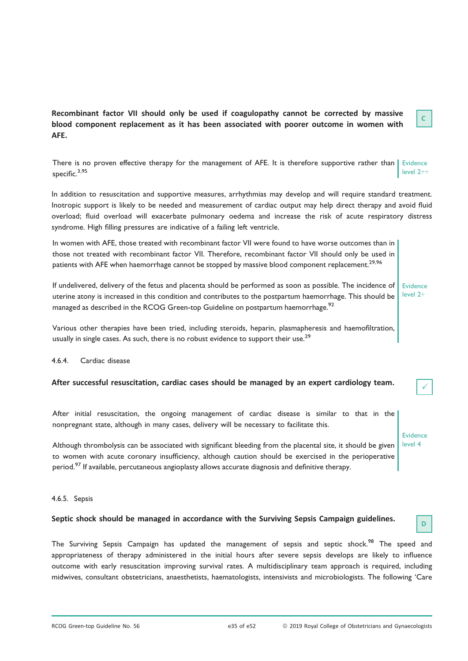| Recombinant factor VII should only be used if coagulopathy cannot be corrected by massive |  |
|-------------------------------------------------------------------------------------------|--|
| blood component replacement as it has been associated with poorer outcome in women with   |  |
| AFE.                                                                                      |  |

There is no proven effective therapy for the management of AFE. It is therefore supportive rather than Evidence specific.<sup>3,95</sup> level 2++

In addition to resuscitation and supportive measures, arrhythmias may develop and will require standard treatment. Inotropic support is likely to be needed and measurement of cardiac output may help direct therapy and avoid fluid overload; fluid overload will exacerbate pulmonary oedema and increase the risk of acute respiratory distress syndrome. High filling pressures are indicative of a failing left ventricle.

In women with AFE, those treated with recombinant factor VII were found to have worse outcomes than in those not treated with recombinant factor VII. Therefore, recombinant factor VII should only be used in patients with AFE when haemorrhage cannot be stopped by massive blood component replacement.<sup>29,96</sup>

If undelivered, delivery of the fetus and placenta should be performed as soon as possible. The incidence of uterine atony is increased in this condition and contributes to the postpartum haemorrhage. This should be managed as described in the RCOG Green-top Guideline on postpartum haemorrhage.<sup>92</sup> Evidence level 2+

Various other therapies have been tried, including steroids, heparin, plasmapheresis and haemofiltration, usually in single cases. As such, there is no robust evidence to support their use.<sup>29</sup>

#### 4.6.4. Cardiac disease

## After successful resuscitation, cardiac cases should be managed by an expert cardiology team.

After initial resuscitation, the ongoing management of cardiac disease is similar to that in the nonpregnant state, although in many cases, delivery will be necessary to facilitate this.

Although thrombolysis can be associated with significant bleeding from the placental site, it should be given to women with acute coronary insufficiency, although caution should be exercised in the perioperative period.<sup>97</sup> If available, percutaneous angioplasty allows accurate diagnosis and definitive therapy.

#### 4.6.5. Sepsis

# Septic shock should be managed in accordance with the Surviving Sepsis Campaign guidelines.

The Surviving Sepsis Campaign has updated the management of sepsis and septic shock.<sup>98</sup> The speed and appropriateness of therapy administered in the initial hours after severe sepsis develops are likely to influence outcome with early resuscitation improving survival rates. A multidisciplinary team approach is required, including midwives, consultant obstetricians, anaesthetists, haematologists, intensivists and microbiologists. The following 'Care

C

**Evidence** level 4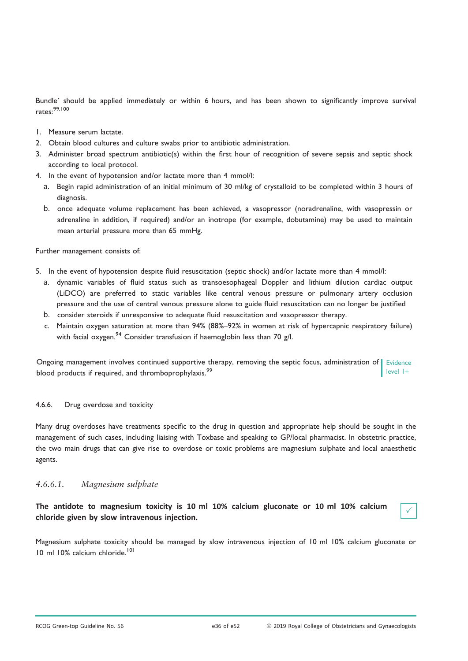Bundle' should be applied immediately or within 6 hours, and has been shown to significantly improve survival rates:99,100

- 1. Measure serum lactate.
- 2. Obtain blood cultures and culture swabs prior to antibiotic administration.
- 3. Administer broad spectrum antibiotic(s) within the first hour of recognition of severe sepsis and septic shock according to local protocol.
- 4. In the event of hypotension and/or lactate more than 4 mmol/l:
	- a. Begin rapid administration of an initial minimum of 30 ml/kg of crystalloid to be completed within 3 hours of diagnosis.
	- b. once adequate volume replacement has been achieved, a vasopressor (noradrenaline, with vasopressin or adrenaline in addition, if required) and/or an inotrope (for example, dobutamine) may be used to maintain mean arterial pressure more than 65 mmHg.

Further management consists of:

- 5. In the event of hypotension despite fluid resuscitation (septic shock) and/or lactate more than 4 mmol/l:
	- a. dynamic variables of fluid status such as transoesophageal Doppler and lithium dilution cardiac output (LiDCO) are preferred to static variables like central venous pressure or pulmonary artery occlusion pressure and the use of central venous pressure alone to guide fluid resuscitation can no longer be justified
	- b. consider steroids if unresponsive to adequate fluid resuscitation and vasopressor therapy.
	- c. Maintain oxygen saturation at more than 94% (88%–92% in women at risk of hypercapnic respiratory failure) with facial oxygen.<sup>94</sup> Consider transfusion if haemoglobin less than 70 g/l.

Ongoing management involves continued supportive therapy, removing the septic focus, administration of Evidence blood products if required, and thromboprophylaxis.<sup>99</sup> level 1+

## 4.6.6. Drug overdose and toxicity

Many drug overdoses have treatments specific to the drug in question and appropriate help should be sought in the management of such cases, including liaising with Toxbase and speaking to GP/local pharmacist. In obstetric practice, the two main drugs that can give rise to overdose or toxic problems are magnesium sulphate and local anaesthetic agents.

## 4.6.6.1. Magnesium sulphate

The antidote to magnesium toxicity is 10 ml 10% calcium gluconate or 10 ml 10% calcium chloride given by slow intravenous injection.

Magnesium sulphate toxicity should be managed by slow intravenous injection of 10 ml 10% calcium gluconate or 10 ml 10% calcium chloride.<sup>101</sup>

 $\checkmark$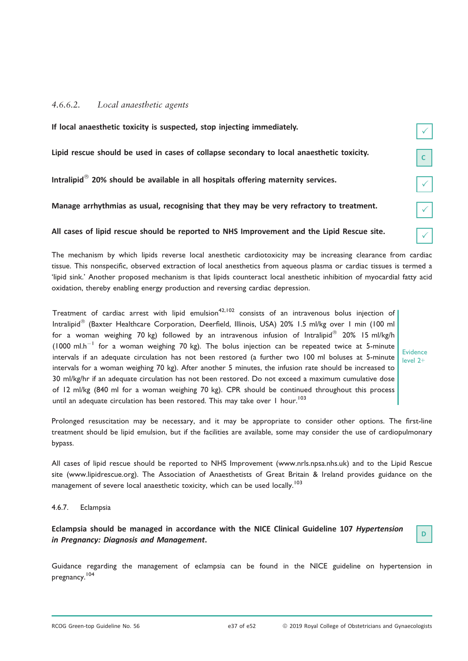## 4.6.6.2. Local anaesthetic agents

| If local anaesthetic toxicity is suspected, stop injecting immediately.                       |              |
|-----------------------------------------------------------------------------------------------|--------------|
| Lipid rescue should be used in cases of collapse secondary to local anaesthetic toxicity.     |              |
| Intralipid <sup>®</sup> 20% should be available in all hospitals offering maternity services. |              |
| Manage arrhythmias as usual, recognising that they may be very refractory to treatment.       | $\checkmark$ |
| All cases of lipid rescue should be reported to NHS Improvement and the Lipid Rescue site.    |              |

The mechanism by which lipids reverse local anesthetic cardiotoxicity may be increasing clearance from cardiac tissue. This nonspecific, observed extraction of local anesthetics from aqueous plasma or cardiac tissues is termed a 'lipid sink.' Another proposed mechanism is that lipids counteract local anesthetic inhibition of myocardial fatty acid oxidation, thereby enabling energy production and reversing cardiac depression.

Treatment of cardiac arrest with lipid emulsion<sup>42,102</sup> consists of an intravenous bolus injection of Intralipid<sup>®</sup> (Baxter Healthcare Corporation, Deerfield, Illinois, USA) 20% 1.5 ml/kg over 1 min (100 ml for a woman weighing 70 kg) followed by an intravenous infusion of Intralipid $^\circledR$  20% 15 ml/kg/h (1000 ml.h<sup>-1</sup> for a woman weighing 70 kg). The bolus injection can be repeated twice at 5-minute intervals if an adequate circulation has not been restored (a further two 100 ml boluses at 5-minute intervals for a woman weighing 70 kg). After another 5 minutes, the infusion rate should be increased to 30 ml/kg/hr if an adequate circulation has not been restored. Do not exceed a maximum cumulative dose of 12 ml/kg (840 ml for a woman weighing 70 kg). CPR should be continued throughout this process until an adequate circulation has been restored. This may take over  $1$  hour.<sup>103</sup>

Evidence level 2+

Prolonged resuscitation may be necessary, and it may be appropriate to consider other options. The first-line treatment should be lipid emulsion, but if the facilities are available, some may consider the use of cardiopulmonary bypass.

All cases of lipid rescue should be reported to NHS Improvement [\(www.nrls.npsa.nhs.uk](http://www.nrls.npsa.nhs.uk)) and to the Lipid Rescue site ([www.lipidrescue.org\)](http://www.lipidrescue.org). The Association of Anaesthetists of Great Britain & Ireland provides guidance on the management of severe local anaesthetic toxicity, which can be used locally.<sup>103</sup>

4.6.7. Eclampsia

Eclampsia should be managed in accordance with the NICE Clinical Guideline 107 Hypertension in Pregnancy: Diagnosis and Management.

Guidance regarding the management of eclampsia can be found in the NICE guideline on hypertension in pregnancy.<sup>104</sup>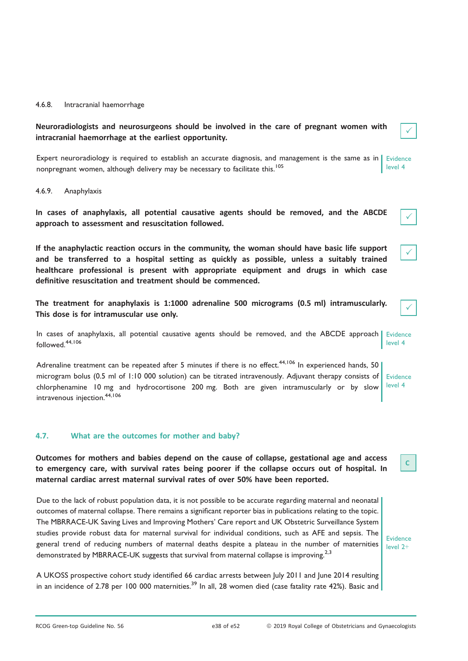#### 4.6.8. Intracranial haemorrhage

Neuroradiologists and neurosurgeons should be involved in the care of pregnant women with intracranial haemorrhage at the earliest opportunity.

Expert neuroradiology is required to establish an accurate diagnosis, and management is the same as in Evidence nonpregnant women, although delivery may be necessary to facilitate this.<sup>105</sup> level 4

#### 4.6.9. Anaphylaxis

In cases of anaphylaxis, all potential causative agents should be removed, and the ABCDE approach to assessment and resuscitation followed.

If the anaphylactic reaction occurs in the community, the woman should have basic life support and be transferred to a hospital setting as quickly as possible, unless a suitably trained healthcare professional is present with appropriate equipment and drugs in which case definitive resuscitation and treatment should be commenced.

The treatment for anaphylaxis is 1:1000 adrenaline 500 micrograms (0.5 ml) intramuscularly. This dose is for intramuscular use only.

In cases of anaphylaxis, all potential causative agents should be removed, and the ABCDE approach Evidence followed.44,106 level 4

Adrenaline treatment can be repeated after 5 minutes if there is no effect.<sup>44,106</sup> In experienced hands, 50 microgram bolus (0.5 ml of 1:10 000 solution) can be titrated intravenously. Adjuvant therapy consists of chlorphenamine 10 mg and hydrocortisone 200 mg. Both are given intramuscularly or by slow intravenous injection.<sup>44,106</sup>

## Evidence level 4

 $\checkmark$ 

 $\checkmark$ 

 $\checkmark$ 

 $\checkmark$ 

## 4.7. What are the outcomes for mother and baby?

Outcomes for mothers and babies depend on the cause of collapse, gestational age and access to emergency care, with survival rates being poorer if the collapse occurs out of hospital. In maternal cardiac arrest maternal survival rates of over 50% have been reported.

Due to the lack of robust population data, it is not possible to be accurate regarding maternal and neonatal outcomes of maternal collapse. There remains a significant reporter bias in publications relating to the topic. The MBRRACE-UK Saving Lives and Improving Mothers' Care report and UK Obstetric Surveillance System studies provide robust data for maternal survival for individual conditions, such as AFE and sepsis. The general trend of reducing numbers of maternal deaths despite a plateau in the number of maternities demonstrated by MBRRACE-UK suggests that survival from maternal collapse is improving.<sup>2,3</sup>

A UKOSS prospective cohort study identified 66 cardiac arrests between July 2011 and June 2014 resulting in an incidence of 2.78 per 100 000 maternities.<sup>39</sup> In all, 28 women died (case fatality rate 42%). Basic and

Evidence level 2+

C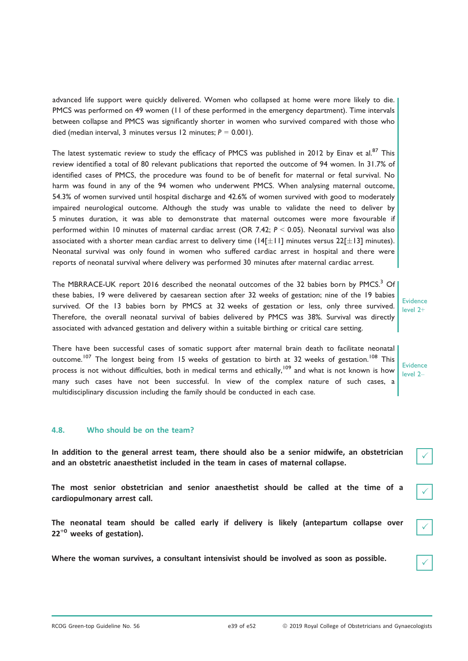advanced life support were quickly delivered. Women who collapsed at home were more likely to die. PMCS was performed on 49 women (11 of these performed in the emergency department). Time intervals between collapse and PMCS was significantly shorter in women who survived compared with those who died (median interval, 3 minutes versus 12 minutes;  $P = 0.001$ ).

The latest systematic review to study the efficacy of PMCS was published in 2012 by Einav et al.<sup>87</sup> This review identified a total of 80 relevant publications that reported the outcome of 94 women. In 31.7% of identified cases of PMCS, the procedure was found to be of benefit for maternal or fetal survival. No harm was found in any of the 94 women who underwent PMCS. When analysing maternal outcome, 54.3% of women survived until hospital discharge and 42.6% of women survived with good to moderately impaired neurological outcome. Although the study was unable to validate the need to deliver by 5 minutes duration, it was able to demonstrate that maternal outcomes were more favourable if performed within 10 minutes of maternal cardiac arrest (OR 7.42; P < 0.05). Neonatal survival was also associated with a shorter mean cardiac arrest to delivery time ( $14[\pm 11]$  minutes versus  $22[\pm 13]$  minutes). Neonatal survival was only found in women who suffered cardiac arrest in hospital and there were reports of neonatal survival where delivery was performed 30 minutes after maternal cardiac arrest.

The MBRRACE-UK report 2016 described the neonatal outcomes of the 32 babies born by PMCS.<sup>3</sup> Of these babies, 19 were delivered by caesarean section after 32 weeks of gestation; nine of the 19 babies survived. Of the 13 babies born by PMCS at 32 weeks of gestation or less, only three survived. Therefore, the overall neonatal survival of babies delivered by PMCS was 38%. Survival was directly associated with advanced gestation and delivery within a suitable birthing or critical care setting.

There have been successful cases of somatic support after maternal brain death to facilitate neonatal outcome.<sup>107</sup> The longest being from 15 weeks of gestation to birth at 32 weeks of gestation.<sup>108</sup> This process is not without difficulties, both in medical terms and ethically,<sup>109</sup> and what is not known is how many such cases have not been successful. In view of the complex nature of such cases, a multidisciplinary discussion including the family should be conducted in each case.

## 4.8. Who should be on the team?

In addition to the general arrest team, there should also be a senior midwife, an obstetrician and an obstetric anaesthetist included in the team in cases of maternal collapse.

The most senior obstetrician and senior anaesthetist should be called at the time of a cardiopulmonary arrest call.

The neonatal team should be called early if delivery is likely (antepartum collapse over  $22^{+0}$  weeks of gestation).

Where the woman survives, a consultant intensivist should be involved as soon as possible.

Evidence level 2+

Evidence level 2–

 $\checkmark$ 

 $\checkmark$ 

 $\checkmark$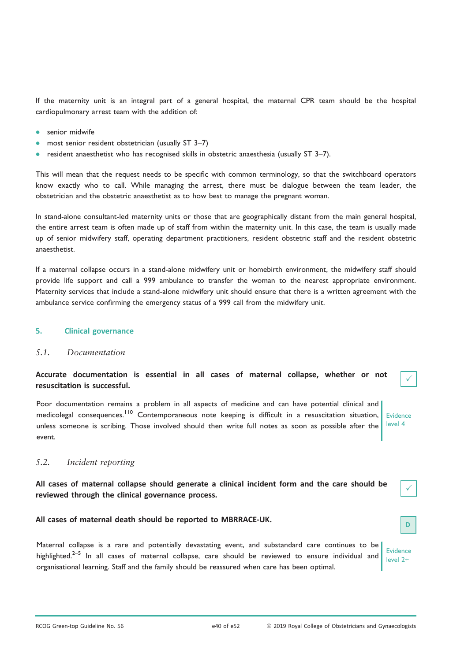If the maternity unit is an integral part of a general hospital, the maternal CPR team should be the hospital cardiopulmonary arrest team with the addition of:

- senior midwife
- most senior resident obstetrician (usually ST 3–7)
- resident anaesthetist who has recognised skills in obstetric anaesthesia (usually ST 3–7).

This will mean that the request needs to be specific with common terminology, so that the switchboard operators know exactly who to call. While managing the arrest, there must be dialogue between the team leader, the obstetrician and the obstetric anaesthetist as to how best to manage the pregnant woman.

In stand-alone consultant-led maternity units or those that are geographically distant from the main general hospital, the entire arrest team is often made up of staff from within the maternity unit. In this case, the team is usually made up of senior midwifery staff, operating department practitioners, resident obstetric staff and the resident obstetric anaesthetist.

If a maternal collapse occurs in a stand-alone midwifery unit or homebirth environment, the midwifery staff should provide life support and call a 999 ambulance to transfer the woman to the nearest appropriate environment. Maternity services that include a stand-alone midwifery unit should ensure that there is a written agreement with the ambulance service confirming the emergency status of a 999 call from the midwifery unit.

## 5. Clinical governance

## 5.1. Documentation

Accurate documentation is essential in all cases of maternal collapse, whether or not resuscitation is successful.

Poor documentation remains a problem in all aspects of medicine and can have potential clinical and medicolegal consequences.<sup>110</sup> Contemporaneous note keeping is difficult in a resuscitation situation, unless someone is scribing. Those involved should then write full notes as soon as possible after the event.

Evidence level 4

 $\checkmark$ 

 $\checkmark$ 

## 5.2. Incident reporting

All cases of maternal collapse should generate a clinical incident form and the care should be reviewed through the clinical governance process.

All cases of maternal death should be reported to MBRRACE-UK.

Maternal collapse is a rare and potentially devastating event, and substandard care continues to be highlighted.<sup>2–5</sup> In all cases of maternal collapse, care should be reviewed to ensure individual and organisational learning. Staff and the family should be reassured when care has been optimal. Evidence level 2+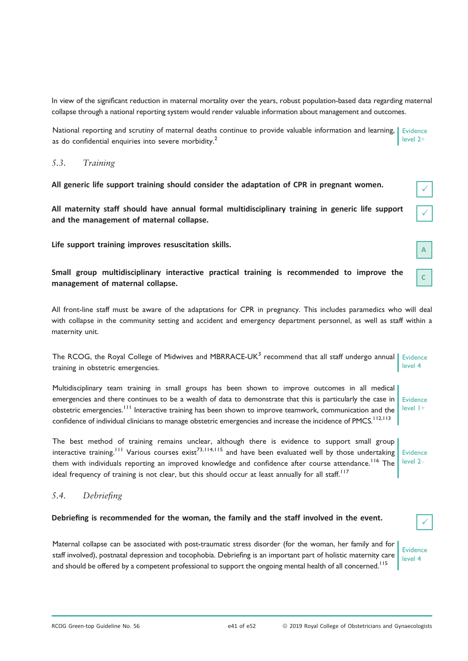In view of the significant reduction in maternal mortality over the years, robust population-based data regarding maternal collapse through a national reporting system would render valuable information about management and outcomes.

National reporting and scrutiny of maternal deaths continue to provide valuable information and learning, as do confidential enquiries into severe morbidity.<sup>2</sup> **Evidence** level 2+

## 5.3. Training

All generic life support training should consider the adaptation of CPR in pregnant women.

All maternity staff should have annual formal multidisciplinary training in generic life support and the management of maternal collapse.

Life support training improves resuscitation skills.

Small group multidisciplinary interactive practical training is recommended to improve the management of maternal collapse.

All front-line staff must be aware of the adaptations for CPR in pregnancy. This includes paramedics who will deal with collapse in the community setting and accident and emergency department personnel, as well as staff within a maternity unit.

The RCOG, the Royal College of Midwives and MBRRACE-UK<sup>3</sup> recommend that all staff undergo annual | Evidence training in obstetric emergencies. level 4

Multidisciplinary team training in small groups has been shown to improve outcomes in all medical emergencies and there continues to be a wealth of data to demonstrate that this is particularly the case in obstetric emergencies.<sup>111</sup> Interactive training has been shown to improve teamwork, communication and the confidence of individual clinicians to manage obstetric emergencies and increase the incidence of PMCS.<sup>112,113</sup> Evidence level 1+

The best method of training remains unclear, although there is evidence to support small group interactive training.<sup>111</sup> Various courses exist<sup>73,114,115</sup> and have been evaluated well by those undertaking Evidence them with individuals reporting an improved knowledge and confidence after course attendance.<sup>116</sup> The ideal frequency of training is not clear, but this should occur at least annually for all staff.<sup>117</sup> level 2–

## 5.4. Debriefing

## Debriefing is recommended for the woman, the family and the staff involved in the event.

Maternal collapse can be associated with post-traumatic stress disorder (for the woman, her family and for staff involved), postnatal depression and tocophobia. Debriefing is an important part of holistic maternity care and should be offered by a competent professional to support the ongoing mental health of all concerned.<sup>115</sup>

Evidence level 4

 $\checkmark$ 

C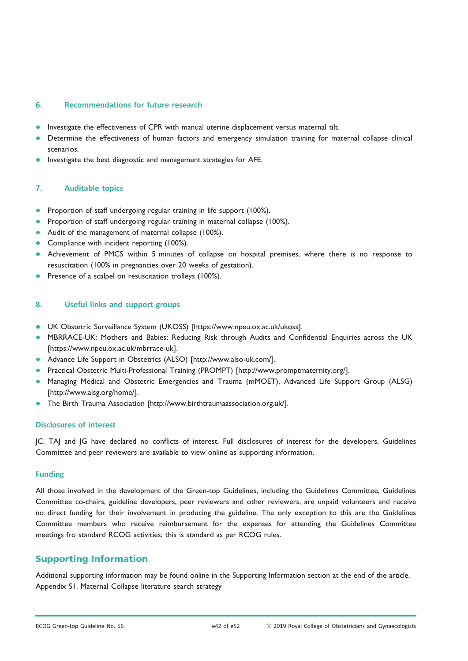## 6. Recommendations for future research

- Investigate the effectiveness of CPR with manual uterine displacement versus maternal tilt.
- Determine the effectiveness of human factors and emergency simulation training for maternal collapse clinical scenarios.
- Investigate the best diagnostic and management strategies for AFE.

## 7. Auditable topics

- Proportion of staff undergoing regular training in life support (100%).
- Proportion of staff undergoing regular training in maternal collapse (100%).
- Audit of the management of maternal collapse (100%).<br>• Compliance with incident reporting (100%)
- Compliance with incident reporting (100%).
- Achievement of PMCS within 5 minutes of collapse on hospital premises, where there is no response to resuscitation (100% in pregnancies over 20 weeks of gestation).
- **•** Presence of a scalpel on resuscitation trolleys (100%).

## 8. Useful links and support groups

- UK Obstetric Surveillance System (UKOSS) [[https://www.npeu.ox.ac.uk/ukoss\]](https://www.npeu.ox.ac.uk/ukoss).<br>● MRRRACE-UK: Mothers and Babies: Reducing Risk through Audits and Cont
- MBRRACE-UK: Mothers and Babies: Reducing Risk through Audits and Confidential Enquiries across the UK [[https://www.npeu.ox.ac.uk/mbrrace-uk\]](https://www.npeu.ox.ac.uk/mbrrace-uk).
- Advance Life Support in Obstetrics (ALSO) [<http://www.also-uk.com/>].
- Practical Obstetric Multi-Professional Training (PROMPT) [\[http://www.promptmaternity.org/\]](http://www.promptmaternity.org/).
- Managing Medical and Obstetric Emergencies and Trauma (mMOET), Advanced Life Support Group (ALSG) [<http://www.alsg.org/home/>].
- The Birth Trauma Association [[http://www.birthtraumaassociation.org.uk/\]](http://www.birthtraumaassociation.org.uk/).

## Disclosures of interest

JC, TAJ and JG have declared no conflicts of interest. Full disclosures of interest for the developers, Guidelines Committee and peer reviewers are available to view online as supporting information.

## Funding

All those involved in the development of the Green-top Guidelines, including the Guidelines Committee, Guidelines Committee co-chairs, guideline developers, peer reviewers and other reviewers, are unpaid volunteers and receive no direct funding for their involvement in producing the guideline. The only exception to this are the Guidelines Committee members who receive reimbursement for the expenses for attending the Guidelines Committee meetings fro standard RCOG activities; this is standard as per RCOG rules.

## Supporting Information

Additional supporting information may be found online in the Supporting Information section at the end of the article. Appendix S1. Maternal Collapse literature search strategy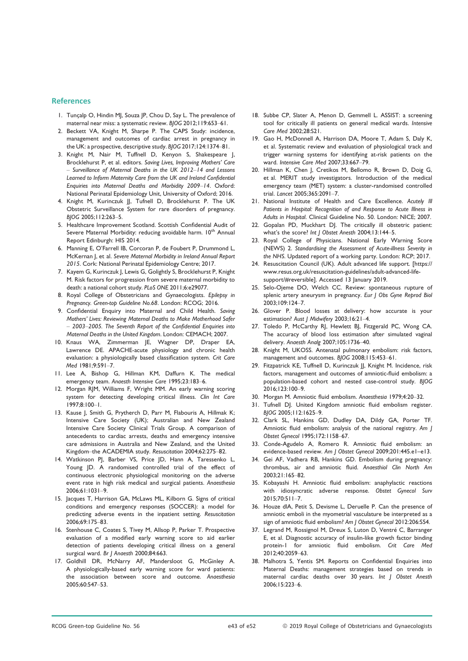#### References

- 1. Tunçalp O, Hindin MJ, Souza JP, Chou D, Say L. The prevalence of maternal near miss: a systematic review. BJOG 2012;119:653–61.
- 2. Beckett VA, Knight M, Sharpe P. The CAPS Study: incidence, management and outcomes of cardiac arrest in pregnancy in the UK: a prospective, descriptive study. BJOG 2017;124:1374–81.
- 3. Knight M, Nair M, Tuffnell D, Kenyon S, Shakespeare J, Brocklehurst P, et al. editors. Saving Lives, Improving Mothers' Care – Surveillance of Maternal Deaths in the UK 2012–14 and Lessons Learned to Inform Maternity Care from the UK and Ireland Confidential Enquiries into Maternal Deaths and Morbidity 2009–14. Oxford: National Perinatal Epidemiology Unit, University of Oxford; 2016.
- 4. Knight M, Kurinczuk JJ, Tufnell D, Brocklehurst P. The UK Obstetric Surveillance System for rare disorders of pregnancy. BJOG 2005;112:263–5.
- 5. Healthcare Improvement Scotland. Scottish Confidential Audit of Severe Maternal Morbidity: reducing avoidable harm. 10<sup>th</sup> Annual Report Edinburgh: HIS 2014.
- 6. Manning E, O'Farrell IB, Corcoran P, de Foubert P, Drummond L, McKernan J, et al. Severe Maternal Morbidity in Ireland Annual Report 2015. Cork: National Perinatal Epidemiology Centre; 2017.
- 7. Kayem G, Kurinczuk I, Lewis G, Golightly S, Brocklehurst P, Knight M. Risk factors for progression from severe maternal morbidity to death: a national cohort study. PLoS ONE 2011;6:e29077.
- 8. Royal College of Obstetricians and Gynaecologists. Epilepsy in Pregnancy. Green-top Guideline No.68. London: RCOG; 2016.
- 9. Confidential Enquiry into Maternal and Child Health. Saving Mothers' Lives: Reviewing Maternal Deaths to Make Motherhood Safer – 2003–2005. The Seventh Report of the Confidential Enquiries into Maternal Deaths in the United Kingdom. London: CEMACH; 2007.
- 10. Knaus WA, Zimmerman JE, Wagner DP, Draper EA, Lawrence DE. APACHE-acute physiology and chronic health evaluation: a physiologically based classification system. Crit Care Med 1981;9:591–7.
- 11. Lee A, Bishop G, Hillman KM, Daffurn K. The medical emergency team. Anaesth Intensive Care 1995;23:183–6.
- 12. Morgan RJM, Williams F, Wright MM. An early warning scoring system for detecting developing critical illness. Clin Int Care 1997;8:100–1.
- 13. Kause J, Smith G, Prytherch D, Parr M, Flabouris A, Hillmak K; Intensive Care Society (UK); Australian and New Zealand Intensive Care Society Clinical Trials Group. A comparison of antecedents to cardiac arrests, deaths and emergency intensive care admissions in Australia and New Zealand, and the United Kingdom–the ACADEMIA study. Resuscitation 2004;62:275–82.
- 14. Watkinson PJ, Barber VS, Price JD, Hann A, Taressenko L, Young JD. A randomised controlled trial of the effect of continuous electronic physiological monitoring on the adverse event rate in high risk medical and surgical patients. Anaesthesia 2006;61:1031–9.
- 15. Jacques T, Harrison GA, McLaws ML, Kilborn G. Signs of critical conditions and emergency responses (SOCCER): a model for predicting adverse events in the inpatient setting. Resuscitation 2006;69:175–83.
- 16. Stenhouse C, Coates S, Tivey M, Allsop P, Parker T. Prospective evaluation of a modified early warning score to aid earlier detection of patients developing critical illness on a general surgical ward. Br J Anaesth 2000;84:663.
- 17. Goldhill DR, McNarry AF, Mandersloot G, McGinley A. A physiologically-based early warning score for ward patients: the association between score and outcome. Anaesthesia 2005;60:547–53.
- 18. Subbe CP, Slater A, Menon D, Gemmell L. ASSIST: a screening tool for critically ill patients on general medical wards. Intensive Care Med 2002;28:S21.
- 19. Gao H, McDonnell A, Harrison DA, Moore T, Adam S, Daly K, et al. Systematic review and evaluation of physiological track and trigger warning systems for identifying at-risk patients on the ward. Intensive Care Med 2007;33:667–79.
- 20. Hillman K, Chen J, Cretikos M, Bellomo R, Brown D, Doig G, et al. MERIT study investigators. Introduction of the medical emergency team (MET) system: a cluster-randomised controlled trial. Lancet 2005;365:2091–7.
- 21. National Institute of Health and Care Excellence. Acutely Ill Patients in Hospital: Recognition of and Response to Acute Illness in Adults in Hospital. Clinical Guideline No. 50. London: NICE; 2007.
- 22. Gopalan PD, Muckhart DJ. The critically ill obstetric patient: what's the score? Int J Obstet Anesth 2004;13:144-5.
- 23. Royal College of Physicians. National Early Warning Score (NEWS) 2. Standardising the Assessment of Acute-illness Severity in the NHS. Updated report of a working party. London: RCP; 2017.
- 24. Resuscitation Council (UK). Adult advanced life support. [\[https://](https://www.resus.org.uk/resuscitation-guidelines/adult-advanced-life-support/#reversible) [www.resus.org.uk/resuscitation-guidelines/adult-advanced-life](https://www.resus.org.uk/resuscitation-guidelines/adult-advanced-life-support/#reversible)[support/#reversible](https://www.resus.org.uk/resuscitation-guidelines/adult-advanced-life-support/#reversible)]. Accessed 13 January 2019.
- 25. Selo-Ojeme DO, Welch CC. Review: spontaneous rupture of splenic artery aneurysm in pregnancy. Eur J Obs Gyne Reprod Biol 2003;109:124–7.
- 26. Glover P. Blood losses at delivery: how accurate is your estimation? Aust J Midwifery 2003;16:21-4.
- 27. Toledo P, McCarthy RJ, Hewlett BJ, Fitzgerald PC, Wong CA. The accuracy of blood loss estimation after simulated vaginal delivery. Anaesth Analg 2007;105:1736–40.
- 28. Knight M, UKOSS. Antenatal pulmonary embolism: risk factors, management and outcomes. BJOG 2008;115:453–61.
- 29. Fitzpatrick KE, Tuffnell D, Kurinczuk JJ, Knight M. Incidence, risk factors, management and outcomes of amniotic-fluid embolism: a population-based cohort and nested case-control study. BJOG 2016;123:100–9.
- 30. Morgan M. Amniotic fluid embolism. Anaesthesia 1979;4:20–32.
- 31. Tufnell DJ. United Kingdom amniotic fluid embolism register. BJOG 2005;112:1625–9.
- 32. Clark SL, Hankins GD, Dudley DA, Dildy GA, Porter TF. Amniotic fluid embolism: analysis of the national registry. Am J Obstet Gynecol 1995;172:1158–67.
- 33. Conde-Agudelo A, Romero R. Amniotic fluid embolism: an evidence-based review. Am J Obstet Gynecol 2009;201:445.e1–e13.
- 34. Gei AF, Vadhera RB, Hankins GD. Embolism during pregnancy: thrombus, air and amniotic fluid. Anaesthiol Clin North Am 2003;21:165–82.
- 35. Kobayashi H. Amniotic fluid embolism: anaphylactic reactions with idiosyncratic adverse response. Obstet Gynecol Surv 2015;70:511–7.
- 36. Houze dlA, Petit S, Devisme L, Deruelle P. Can the presence of amniotic emboli in the myometrial vasculature be interpreted as a sign of amniotic fluid embolism? Am | Obstet Gynecol 2012:206:S54.
- 37. Legrand M, Rossignol M, Dreux S, Luton D, Ventré C, Barranger E, et al. Diagnostic accuracy of insulin-like growth factor binding protein-1 for amniotic fluid embolism. Crit Care Med 2012;40:2059–63.
- 38. Malhotra S, Yentis SM. Reports on Confidential Enquiries into Maternal Deaths: management strategies based on trends in maternal cardiac deaths over 30 years. Int J Obstet Anesth 2006;15:223–6.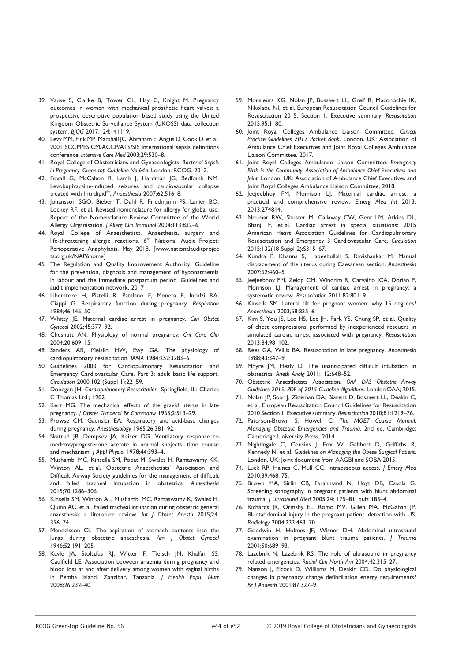- 39. Vause S, Clarke B, Tower CL, Hay C, Knight M. Pregnancy outcomes in women with mechanical prosthetic heart valves: a prospective descriptive population based study using the United Kingdom Obstetric Surveillance System (UKOSS) data collection system. BJOG 2017;124:1411–9.
- 40. Levy MM, Fink MP, Marshall JC, Abraham E, Angus D, Cook D, et al. 2001 SCCM/ESICM/ACCP/ATS/SIS international sepsis definitions conference. Intensive Care Med 2003;29:530–8.
- 41. Royal College of Obstetricians and Gynaecologists. Bacterial Sepsis in Pregnancy. Green-top Guideline No.64a. London: RCOG; 2012.
- 42. Foxall G, McCahon R, Lamb J, Hardman JG, Bedforth NM. Levobupivacaine-induced seizures and cardiovascular collapse treated with Intralipid<sup>®</sup>. Anaesthesia 2007;62:516–8.
- 43. Johansson SGO, Bieber T, Dahl R, Friedmjann PS, Lanier BQ, Lockey RF, et al. Revised nomenclature for allergy for global use: Report of the Nomenclature Review Committee of the World Allergy Organisation. J Allerg Clin Immunol 2004;113:832–6.
- 44. Royal College of Anaesthetists. Anaesthesia, surgery and life-threatening allergic reactions. 6<sup>th</sup> National Audit Project: Perioperative Anaphylaxis. May 2018. [\[www.nationalauditprojec](http://www.nationalauditprojects.org.uk/NAP6home) [ts.org.uk/NAP6home\]](http://www.nationalauditprojects.org.uk/NAP6home)
- 45. The Regulation and Quality Improvement Authority. Guideline for the prevention, diagnosis and management of hyponatraemia in labour and the immediate postpartum period. Guidelines and audit implementation network. 2017
- 46. Liberatore H, Pistelli R, Patalano F, Moneta E, Incalzi RA, Ciappi G. Respiratory function during pregnancy. Respiration 1984;46:145–50.
- 47. Whitty JE. Maternal cardiac arrest in pregnancy. Clin Obstet Gynecol 2002;45:377–92.
- 48. Chesnutt AN. Physiology of normal pregnancy. Crit Care Clin 2004;20:609–15.
- 49. Sanders AB, Meislin HW, Ewy GA. The physiology of cardiopulmonary resuscitation. JAMA 1984;252:3283–6.
- 50. Guidelines 2000 for Cardiopulmonary Resuscitation and Emergency Cardiovascular Care. Part 3: adult basic life support. Circulation 2000;102 (Suppl 1);22–59.
- 51. Donegan JH. Cardiopulmonary Resuscitation. Springfield, IL: Charles C Thomas Ltd.; 1982.
- 52. Kerr MG. The mechanical effects of the gravid uterus in late pregnancy. J Obstet Gynaecol Br Commonw 1965;2:513–29.
- 53. Prowse CM, Gaensler EA. Respiratory and acid-base changes during pregnancy. Anesthesiology 1965;26:381–92.
- 54. Skatrud JB, Dempsey JA, Kaiser DG. Ventilatory response to medroxyprogesterone acetate in normal subjects: time course and mechanism. J Appl Physiol 1978;44:393–4.
- 55. Mushambi MC, Kinsella SM, Popat M, Swales H, Ramaswamy KK, Winton AL, et al. Obstetric Anaesthetists' Association and Difficult Airway Society guidelines for the management of difficult and failed tracheal intubation in obstetrics. Anaesthesia 2015;70:1286–306.
- 56. Kinsella SM, Winton AL, Mushambi MC, Ramaswamy K, Swales H, Quinn AC, et al. Failed tracheal intubation during obstetric general anaesthesia: a literature review. Int J Obstet Anesth 2015;24: 356–74.
- 57. Mendelsson CL. The aspiration of stomach contents into the lungs during obstetric anaesthesia. Am J Obstet Gynecol 1946;52:191–205.
- 58. Kavle JA, Stoltzfus RJ, Witter F, Tielsch JM, Khalfan SS, Caulfield LE. Association between anaemia during pregnancy and blood loss at and after delivery among women with vaginal births in Pemba Island, Zanzibar, Tanzania. J Health Popul Nutr 2008;26:232–40.
- 59. Monsieurs KG, Nolan JP, Bossaert LL, Greif R, Maconochie IK, Nikolaou NI, et al. European Resuscitation Council Guidelines for Resuscitation 2015: Section 1. Executive summary. Resuscitation 2015;95:1–80.
- 60. Joint Royal Colleges Ambulance Liaison Committee. Clinical Practice Guidelines 2017 Pocket Book. London, UK: Association of Ambulance Chief Executives and Joint Royal Colleges Ambulance Liaison Committee. 2017.
- 61. Joint Royal Colleges Ambulance Liaison Committee. Emergency Birth in the Community. Association of Ambulance Chief Executives and Joint. London, UK: Association of Ambulance Chief Executives and Joint Royal Colleges Ambulance Liaison Committee; 2018.
- 62. Jeejeebhoy FM, Morrison LJ. Maternal cardiac arrest: a practical and comprehensive review. Emerg Med Int 2013; 2013:274814.
- 63. Neumar RW, Shuster M, Callaway CW, Gent LM, Atkins DL, Bhanji F, et al. Cardiac arrest in special situations: 2015 American Heart Association Guidelines for Cardiopulmonary Resuscitation and Emergency 3 Cardiovascular Care. Circulation 2015;132(18 Suppl 2):S315–67.
- 64. Kundra P, Khanna S, Habeebullah S, Ravishankar M. Manual displacement of the uterus during Caesarean section. Anaesthesia 2007;62:460–5.
- 65. Jeejeebhoy FM, Zelop CM, Windrim R, Carvalho JCA, Dorian P, Morrison LJ. Management of cardiac arrest in pregnancy: a systematic review. Resuscitation 2011;82:801–9.
- 66. Kinsella SM. Lateral tilt for pregnant women: why 15 degrees? Anaesthesia 2003;58:835–6.
- 67. Kim S, You JS, Lee HS, Lee JH, Park YS, Chung SP, et al. Quality of chest compressions performed by inexperienced rescuers in simulated cardiac arrest associated with pregnancy. Resuscitation 2013;84:98–102.
- 68. Rees GA, Willis BA. Resuscitation in late pregnancy. Anaesthesia 1988;43:347–9.
- 69. Mhyre JM, Healy D. The unanticipated difficult intubation in obstetrics. Aneth Analg 2011;112:648–52.
- 70. Obstetric Anaesthetists Association. OAA DAS Obstetric Airway Guidelines 2015: PDF of 2015 Guideline Algorithms. London:OAA; 2015.
- 71. Nolan JP, Soar J, Zideman DA, Biarent D, Bossaert LL, Deakin C, et al. European Resuscitation Council Guidelines for Resuscitation 2010 Section 1. Executive summary. Resuscitation 2010;81:1219–76.
- 72. Paterson-Brown S, Howell C. The MOET Course Manual: Managing Obstetric Emergencies and Trauma, 2nd ed. Cambridge: Cambridge University Press; 2014.
- 73. Nightingale C, Cousins J, Fox W, Gabbott D, Griffiths R, Kennedy N, et al. Guidelines on Managing the Obese Surgical Patient. London, UK: Joint document from AAGBI and SOBA 2015.
- 74. Luck RP, Haines C, Mull CC. Intraosseous access. J Emerg Med 2010;39:468–75.
- 75. Brown MA, Sirlin CB, Farahmand N, Hoyt DB, Casola G. Screening sonography in pregnant patients with blunt abdominal trauma. J Ultrasound Med 2005;24: 175–81; quiz 183–4.
- 76. Richards JR, Ormsby EL, Romo MV, Gillen MA, McGahan JP. Bluntabdominal injury in the pregnant patient: detection with US. Radiology 2004;233:463–70.
- 77. Goodwin H, Holmes JF, Wisner DH. Abdominal ultrasound examination in pregnant blunt trauma patients. J Trauma 2001;50:689–93.
- 78. Lazebnik N, Lazebnik RS. The role of ultrasound in pregnancy related emergencies. Radiol Clin North Am 2004;42:315–27.
- 79. Nanson J, Elcock D, Williams M, Deakin CD. Do physiological changes in pregnancy change defibrillation energy requirements? Br J Anaesth 2001;87:327–9.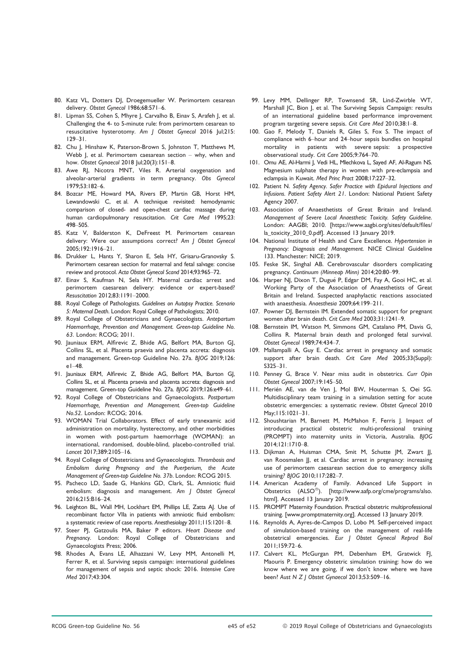- 80. Katz VL, Dotters DJ, Droegemueller W. Perimortem cesarean delivery. Obstet Gynecol 1986;68:571–6.
- 81. Lipman SS, Cohen S, Mhyre J, Carvalho B, Einav S, Arafeh J, et al. Challenging the 4- to 5-minute rule: from perimortem cesarean to resuscitative hysterotomy. Am J Obstet Gynecol 2016 Jul;215: 129–31.
- 82. Chu J, Hinshaw K, Paterson-Brown S, Johnston T, Matthews M, Webb J, et al. Perimortem caesarean section – why, when and how. Obstet Gynaecol 2018 Jul;20(3):151–8.
- 83. Awe RJ, Nicotra MNT, Viles R. Arterial oxygenation and alveolar-arterial gradients in term pregnancy. Obs Gynecol 1979;53:182–6.
- 84. Bozcar ME, Howard MA, Rivers EP, Martin GB, Horst HM, Lewandowski C, et al. A technique revisited: hemodynamic comparison of closed- and open-chest cardiac massage during human cardiopulmonary resuscitation. Crit Care Med 1995;23: 498–505.
- 85. Katz V, Balderston K, DeFreest M. Perimortem cesarean delivery: Were our assumptions correct? Am J Obstet Gynecol 2005;192:1916–21.
- 86. Drukker L, Hants Y, Sharon E, Sela HY, Grisaru-Granovsky S. Perimortem cesarean section for maternal and fetal salvage: concise review and protocol. Acta Obstet Gynecol Scand 2014;93:965–72.
- 87. Einav S, Kaufman N, Sela HY. Maternal cardiac arrest and perimortem caesarean delivery: evidence or expert-based? Resuscitation 2012;83:1191–2000.
- 88. Royal College of Pathologists. Guidelines on Autopsy Practice. Scenario 5: Maternal Death. London: Royal College of Pathologists; 2010.
- 89. Royal College of Obstetricians and Gynaecologists. Antepartum Haemorrhage, Prevention and Management. Green-top Guideline No. 63. London: RCOG; 2011.
- 90. Jauniaux ERM, Alfirevic Z, Bhide AG, Belfort MA, Burton GJ, Collins SL, et al. Placenta praevia and placenta accreta: diagnosis and management. Green-top Guideline No. 27a. BJOG 2019;126: e1–48.
- 91. Jauniaux ERM, Alfirevic Z, Bhide AG, Belfort MA, Burton GJ, Collins SL, et al. Placenta praevia and placenta accreta: diagnosis and management. Green-top Guideline No. 27a. BJOG 2019;126:e49–61.
- 92. Royal College of Obstetricians and Gynaecologists. Postpartum Haemorrhage, Prevention and Management. Green-top Guideline No.52. London: RCOG; 2016.
- 93. WOMAN Trial Collaborators. Effect of early tranexamic acid administration on mortality, hysterectomy, and other morbidities in women with post-partum haemorrhage (WOMAN): an international, randomised, double-blind, placebo-controlled trial. Lancet 2017;389:2105–16.
- 94. Royal College of Obstetricians and Gynaecologists. Thrombosis and Embolism during Pregnancy and the Puerperium, the Acute Management of Green-top Guideline No. 37b. London: RCOG 2015.
- 95. Pacheco LD, Saade G, Hankins GD, Clark, SL. Amniotic fluid embolism: diagnosis and management. Am J Obstet Gynecol 2016;215:B16–24.
- 96. Leighton BL, Wall MH, Lockhart EM, Phillips LE, Zatta AJ. Use of recombinant factor VIIa in patients with amniotic fluid embolism: a systematic review of case reports. Anesthesiology 2011;115:1201–8.
- 97. Steer PJ, Gatzoulis MA, Baker P editors. Heart Disease and Pregnancy. London: Royal College of Obstetricians and Gynaecologists Press; 2006.
- 98. Rhodes A, Evans LE, Alhazzani W, Levy MM, Antonelli M, Ferrer R, et al. Surviving sepsis campaign: international guidelines for management of sepsis and septic shock: 2016. Intensive Care Med 2017;43:304.
- 99. Levy MM, Dellinger RP, Townsend SR, Lind-Zwirble WT, Marshall JC, Bion J, et al. The Surviving Sepsis Campaign: results of an international guideline based performance improvement program targeting severe sepsis. Crit Care Med 2010;38:1–8.
- 100. Gao F, Melody T, Daniels R, Giles S, Fox S. The impact of compliance with 6–hour and 24–hour sepsis bundles on hospital mortality in patients with severe sepsis: a prospective observational study. Crit Care 2005;9:764–70.
- 101. Omu AE, Al-Harmi J, Vedi HL, Mlechkova L, Sayed AF, Al-Ragum NS. Magnesium sulphate therapy in women with pre-eclampsia and eclampsia in Kuwait. Med Princ Pract 2008;17:227–32.
- 102. Patient N. Safety Agency. Safer Practice with Epidural Injections and Infusions. Patient Safety Alert 21. London: National Patient Safety Agency 2007.
- 103. Association of Anaesthetists of Great Britain and Ireland. Management of Severe Local Anaesthetic Toxicity. Safety Guideline. London: AAGBI; 2010. [\[https://www.aagbi.org/sites/default/files/](https://www.aagbi.org/sites/default/files/la_toxicity_2010_0.pdf) [la\\_toxicity\\_2010\\_0.pdf\]](https://www.aagbi.org/sites/default/files/la_toxicity_2010_0.pdf). Accessed 13 January 2019.
- 104. National Institute of Health and Care Excellence. Hypertension in Pregnancy: Diagnosis and Management. NICE Clinical Guideline 133. Manchester: NICE; 2019.
- 105. Feske SK, Singhal AB. Cerebrovascular disorders complicating pregnancy. Continuum (Minneap Minn) 2014;20:80–99.
- 106. Harper NJ, Dixon T, Dugué P, Edgar DM, Fay A, Gooi HC, et al. Working Party of the Association of Anaesthetists of Great Britain and Ireland. Suspected anaphylactic reactions associated with anaesthesia. Anaesthesia 2009;64:199–211.
- 107. Powner DJ, Bernstein IM. Extended somatic support for pregnant women after brain death. Crit Care Med 2003;31:1241–9.
- 108. Bernstein IM, Watson M, Simmons GM, Catalano PM, Davis G, Collins R. Maternal brain death and prolonged fetal survival. Obstet Gynecol 1989;74:434–7.
- 109. Mallampalli A, Guy E. Cardiac arrest in pregnancy and somatic support after brain death. Crit Care Med 2005;33(Suppl): S325–31.
- 110. Penney G, Brace V. Near miss audit in obstetrics. Curr Opin Obstet Gynecol 2007;19:145–50.
- 111. Merién AE, van de Ven J, Mol BW, Houterman S, Oei SG. Multidisciplinary team training in a simulation setting for acute obstetric emergencies: a systematic review. Obstet Gynecol 2010 May;115:1021–31.
- 112. Shoushtarian M, Barnett M, McMahon F, Ferris J. Impact of introducing practical obstetric multi-professional training (PROMPT) into maternity units in Victoria, Australia. BJOG 2014;121:1710–8.
- 113. Dijkman A, Huisman CMA, Smit M, Schutte JM, Zwart JJ, van Roosmalen JJ, et al. Cardiac arrest in pregnancy: increasing use of perimortem caesarean section due to emergency skills training? BJOG 2010;117:282–7.
- 114. American Academy of Family. Advanced Life Support in Obstetrics (ALSO<sup>®</sup>). [\[http://www.aafp.org/cme/programs/also.](http://www.aafp.org/cme/programs/also.html) [html](http://www.aafp.org/cme/programs/also.html)]. Accessed 13 January 2019.
- 115. PROMPT Maternity Foundation. Practical obstetric multiprofessional training. [\[www.promptmaternity.org](http://www.promptmaternity.org)]. Accessed 13 January 2019.
- 116. Reynolds A, Ayres-de-Campos D, Lobo M. Self-perceived impact of simulation-based training on the management of real-life obstetrical emergencies. Eur J Obstet Gynecol Reprod Biol 2011;159:72–6.
- 117. Calvert KL, McGurgan PM, Debenham EM, Gratwick FJ, Maouris P. Emergency obstetric simulation training: how do we know where we are going, if we don't know where we have been? Aust N Z J Obstet Gynaecol 2013;53:509–16.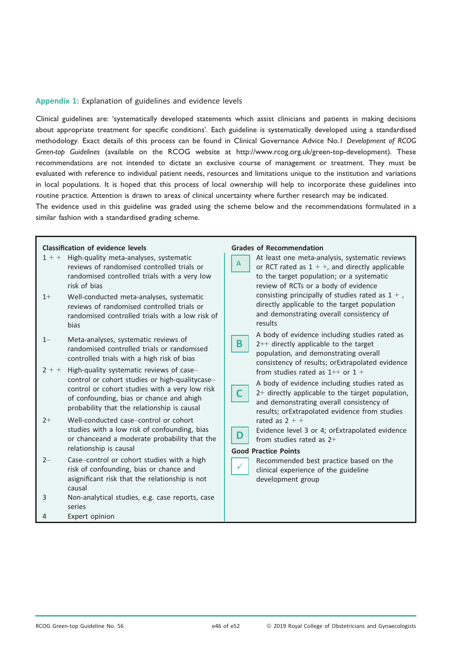#### Appendix 1: Explanation of guidelines and evidence levels

Clinical guidelines are: 'systematically developed statements which assist clinicians and patients in making decisions about appropriate treatment for specific conditions'. Each guideline is systematically developed using a standardised methodology. Exact details of this process can be found in Clinical Governance Advice No.1 Development of RCOG Green-top Guidelines (available on the RCOG website at<http://www.rcog.org.uk/green-top-development>). These recommendations are not intended to dictate an exclusive course of management or treatment. They must be evaluated with reference to individual patient needs, resources and limitations unique to the institution and variations in local populations. It is hoped that this process of local ownership will help to incorporate these guidelines into routine practice. Attention is drawn to areas of clinical uncertainty where further research may be indicated.

The evidence used in this guideline was graded using the scheme below and the recommendations formulated in a similar fashion with a standardised grading scheme.

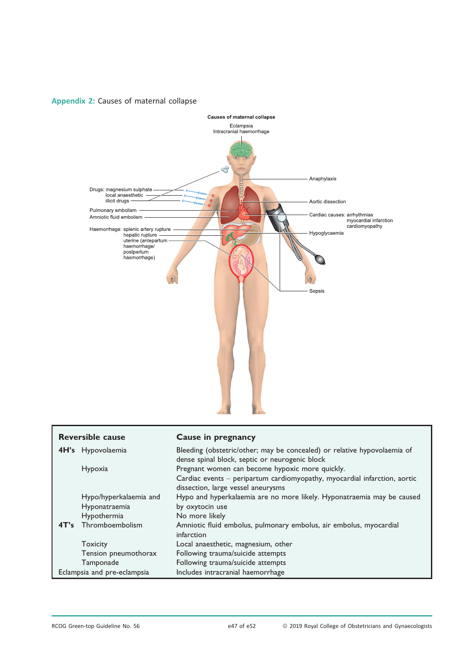

## Appendix 2: Causes of maternal collapse

| <b>Reversible cause</b>     |                        | Cause in pregnancy                                                        |
|-----------------------------|------------------------|---------------------------------------------------------------------------|
|                             | 4H's Hypovolaemia      | Bleeding (obstetric/other; may be concealed) or relative hypovolaemia of  |
|                             |                        | dense spinal block, septic or neurogenic block                            |
|                             | Hypoxia                | Pregnant women can become hypoxic more quickly.                           |
|                             |                        | Cardiac events - peripartum cardiomyopathy, myocardial infarction, aortic |
|                             |                        | dissection, large vessel aneurysms                                        |
|                             | Hypo/hyperkalaemia and | Hypo and hyperkalaemia are no more likely. Hyponatraemia may be caused    |
|                             | Hyponatraemia          | by oxytocin use                                                           |
|                             | Hypothermia            | No more likely                                                            |
| 4T's                        | Thromboembolism        | Amniotic fluid embolus, pulmonary embolus, air embolus, myocardial        |
|                             |                        | infarction                                                                |
|                             | <b>Toxicity</b>        | Local anaesthetic, magnesium, other                                       |
|                             | Tension pneumothorax   | Following trauma/suicide attempts                                         |
|                             | Tamponade              | Following trauma/suicide attempts                                         |
| Eclampsia and pre-eclampsia |                        | Includes intracranial haemorrhage                                         |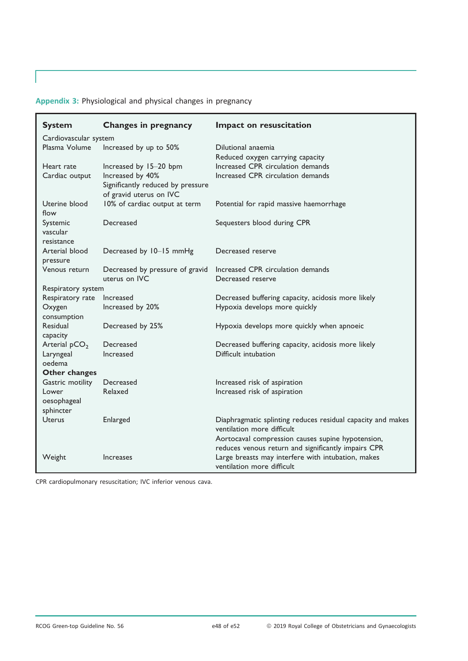Appendix 3: Physiological and physical changes in pregnancy

| <b>System</b>                      | <b>Changes in pregnancy</b>                                                      | Impact on resuscitation                                                                                                                 |
|------------------------------------|----------------------------------------------------------------------------------|-----------------------------------------------------------------------------------------------------------------------------------------|
| Cardiovascular system              |                                                                                  |                                                                                                                                         |
| Plasma Volume                      | Increased by up to 50%                                                           | Dilutional anaemia<br>Reduced oxygen carrying capacity                                                                                  |
| Heart rate                         | Increased by 15-20 bpm                                                           | Increased CPR circulation demands                                                                                                       |
| Cardiac output                     | Increased by 40%<br>Significantly reduced by pressure<br>of gravid uterus on IVC | Increased CPR circulation demands                                                                                                       |
| Uterine blood<br>flow              | 10% of cardiac output at term                                                    | Potential for rapid massive haemorrhage                                                                                                 |
| Systemic<br>vascular<br>resistance | Decreased                                                                        | Sequesters blood during CPR                                                                                                             |
| Arterial blood<br>pressure         | Decreased by 10-15 mmHg                                                          | Decreased reserve                                                                                                                       |
| Venous return                      | Decreased by pressure of gravid<br>uterus on IVC                                 | Increased CPR circulation demands<br>Decreased reserve                                                                                  |
| Respiratory system                 |                                                                                  |                                                                                                                                         |
| Respiratory rate                   | Increased                                                                        | Decreased buffering capacity, acidosis more likely                                                                                      |
| Oxygen<br>consumption              | Increased by 20%                                                                 | Hypoxia develops more quickly                                                                                                           |
| Residual<br>capacity               | Decreased by 25%                                                                 | Hypoxia develops more quickly when apnoeic                                                                                              |
| Arterial $pCO2$                    | Decreased                                                                        | Decreased buffering capacity, acidosis more likely                                                                                      |
| Laryngeal<br>oedema                | Increased                                                                        | Difficult intubation                                                                                                                    |
| Other changes                      |                                                                                  |                                                                                                                                         |
| Gastric motility                   | Decreased                                                                        | Increased risk of aspiration                                                                                                            |
| Lower<br>oesophageal<br>sphincter  | Relaxed                                                                          | Increased risk of aspiration                                                                                                            |
| <b>Uterus</b>                      | Enlarged                                                                         | Diaphragmatic splinting reduces residual capacity and makes<br>ventilation more difficult                                               |
|                                    |                                                                                  | Aortocaval compression causes supine hypotension,                                                                                       |
| Weight                             | Increases                                                                        | reduces venous return and significantly impairs CPR<br>Large breasts may interfere with intubation, makes<br>ventilation more difficult |

CPR cardiopulmonary resuscitation; IVC inferior venous cava.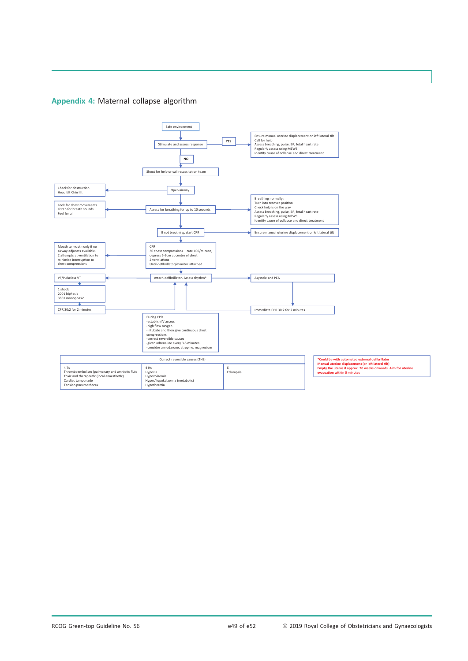## Appendix 4: Maternal collapse algorithm

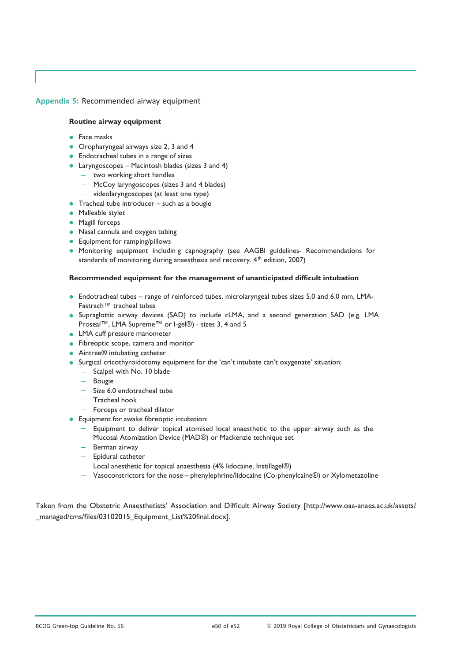Appendix 5: Recommended airway equipment

#### **Routine airway equipment**

- Face masks
- **Oropharyngeal airways size 2, 3 and 4**
- **•** Endotracheal tubes in a range of sizes
- Laryngoscopes Macintosh blades (sizes 3 and 4)
	- two working short handles
	- McCoy laryngoscopes (sizes 3 and 4 blades)
	- videolaryngoscopes (at least one type)
- **Tracheal tube introducer such as a bougie**
- Malleable stylet
- **•** Magill forceps
- Nasal cannula and oxygen tubing
- **•** Equipment for ramping/pillows
- Monitoring equipment includin g capnography (see AAGBI guidelines- Recommendations for standards of monitoring during anaesthesia and recovery. 4<sup>th</sup> edition, 2007)

#### **Recommended equipment for the management of unanticipated difficult intubation**

- Endotracheal tubes range of reinforced tubes, microlaryngeal tubes sizes 5.0 and 6.0 mm, LMA-Fastrach™ tracheal tubes
- Supraglottic airway devices (SAD) to include cLMA, and a second generation SAD (e.g. LMA Proseal™, LMA Supreme™ or I-gel®) - sizes 3, 4 and 5
- **LMA** cuff pressure manometer
- Fibreoptic scope, camera and monitor
- Aintree® intubating catheter
- Surgical cricothyroidotomy equipment for the 'can't intubate can't oxygenate' situation:
	- Scalpel with No. 10 blade
	- Bougie
	- $-$  Size 6.0 endotracheal tube
	- $-$  Tracheal hook
	- $-$  Forceps or tracheal dilator
- **•** Equipment for awake fibreoptic intubation:
	- $-$  Equipment to deliver topical atomised local anaesthetic to the upper airway such as the Mucosal Atomization Device (MAD®) or Mackenzie technique set
	- Berman airway
	- Epidural catheter
	- Local anesthetic for topical anaesthesia (4% lidocaine, Instillagel®)
	- Vasoconstrictors for the nose phenylephrine/lidocaine (Co-phenylcaine®) or Xylometazoline

Taken from the Obstetric Anaesthetists' Association and Difficult Airway Society [[http://www.oaa-anaes.ac.uk/assets/](http://www.oaa-anaes.ac.uk/assets/_managed/cms/files/03102015_Equipment_List%20final.docx) [\\_managed/cms/files/03102015\\_Equipment\\_List%20final.docx\]](http://www.oaa-anaes.ac.uk/assets/_managed/cms/files/03102015_Equipment_List%20final.docx).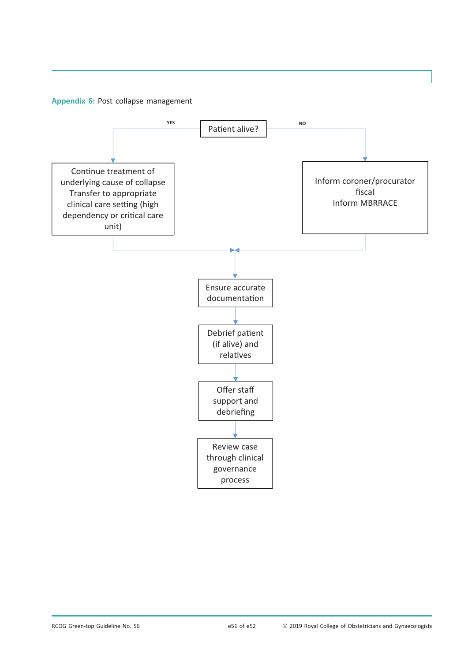Appendix 6: Post collapse management